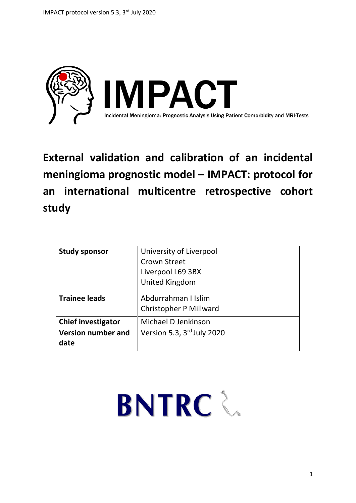

**External validation and calibration of an incidental meningioma prognostic model – IMPACT: protocol for an international multicentre retrospective cohort study**

| <b>Study sponsor</b>              | University of Liverpool<br><b>Crown Street</b><br>Liverpool L69 3BX<br><b>United Kingdom</b> |
|-----------------------------------|----------------------------------------------------------------------------------------------|
| <b>Trainee leads</b>              | Abdurrahman I Islim<br><b>Christopher P Millward</b>                                         |
| <b>Chief investigator</b>         | Michael D Jenkinson                                                                          |
| <b>Version number and</b><br>date | Version 5.3, 3rd July 2020                                                                   |

# **BNTRC**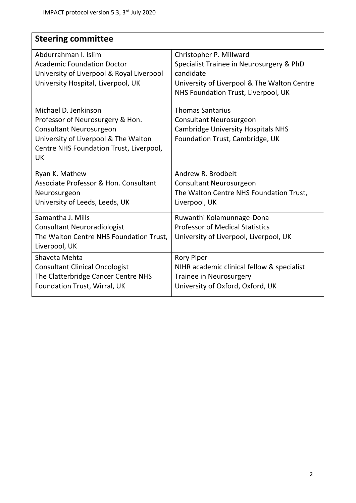| <b>Steering committee</b>                 |                                             |
|-------------------------------------------|---------------------------------------------|
| Abdurrahman I. Islim                      | Christopher P. Millward                     |
| <b>Academic Foundation Doctor</b>         | Specialist Trainee in Neurosurgery & PhD    |
| University of Liverpool & Royal Liverpool | candidate                                   |
| University Hospital, Liverpool, UK        | University of Liverpool & The Walton Centre |
|                                           | NHS Foundation Trust, Liverpool, UK         |
| Michael D. Jenkinson                      | <b>Thomas Santarius</b>                     |
| Professor of Neurosurgery & Hon.          | <b>Consultant Neurosurgeon</b>              |
| Consultant Neurosurgeon                   | <b>Cambridge University Hospitals NHS</b>   |
| University of Liverpool & The Walton      | Foundation Trust, Cambridge, UK             |
| Centre NHS Foundation Trust, Liverpool,   |                                             |
| UK                                        |                                             |
| Ryan K. Mathew                            | Andrew R. Brodbelt                          |
| Associate Professor & Hon. Consultant     | <b>Consultant Neurosurgeon</b>              |
| Neurosurgeon                              | The Walton Centre NHS Foundation Trust,     |
| University of Leeds, Leeds, UK            | Liverpool, UK                               |
| Samantha J. Mills                         | Ruwanthi Kolamunnage-Dona                   |
| <b>Consultant Neuroradiologist</b>        | <b>Professor of Medical Statistics</b>      |
| The Walton Centre NHS Foundation Trust,   | University of Liverpool, Liverpool, UK      |
| Liverpool, UK                             |                                             |
| Shaveta Mehta                             | <b>Rory Piper</b>                           |
| <b>Consultant Clinical Oncologist</b>     | NIHR academic clinical fellow & specialist  |
| The Clatterbridge Cancer Centre NHS       | <b>Trainee in Neurosurgery</b>              |
| Foundation Trust, Wirral, UK              | University of Oxford, Oxford, UK            |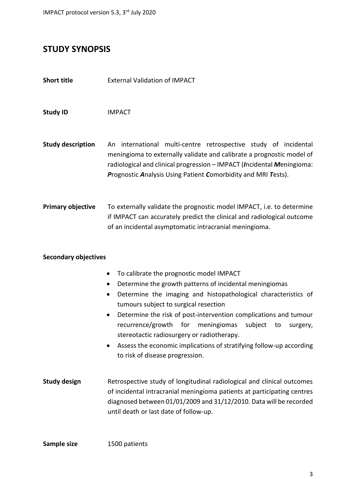## **STUDY SYNOPSIS**

| <b>Short title</b> | <b>External Validation of IMPACT</b> |  |
|--------------------|--------------------------------------|--|
|--------------------|--------------------------------------|--|

**Study ID** IMPACT

**Study description** An international multi-centre retrospective study of incidental meningioma to externally validate and calibrate a prognostic model of radiological and clinical progression – IMPACT (*I*ncidental *M*eningioma: *P*rognostic *A*nalysis Using Patient *C*omorbidity and MRI *T*ests).

**Primary objective** To externally validate the prognostic model IMPACT, i.e. to determine if IMPACT can accurately predict the clinical and radiological outcome of an incidental asymptomatic intracranial meningioma.

#### **Secondary objectives**

|  | To calibrate the prognostic model IMPACT |  |  |
|--|------------------------------------------|--|--|
|--|------------------------------------------|--|--|

- Determine the growth patterns of incidental meningiomas
- Determine the imaging and histopathological characteristics of tumours subject to surgical resection
- Determine the risk of post-intervention complications and tumour recurrence/growth for meningiomas subject to surgery, stereotactic radiosurgery or radiotherapy.
- Assess the economic implications of stratifying follow-up according to risk of disease progression.
- **Study design Figure 20 Retrospective study of longitudinal radiological and clinical outcomes** of incidental intracranial meningioma patients at participating centres diagnosed between 01/01/2009 and 31/12/2010. Data will be recorded until death or last date of follow-up.

**Sample size** 1500 patients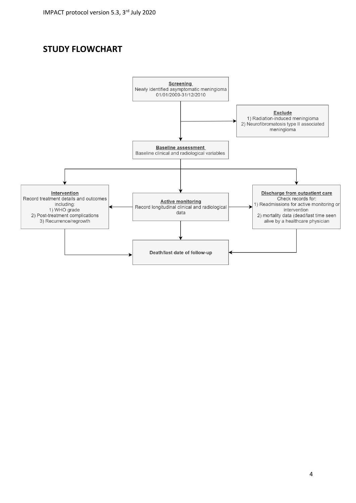# **STUDY FLOWCHART**

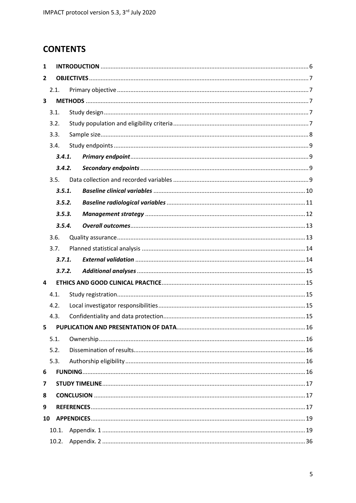# **CONTENTS**

| 1                       |        |        |  |  |  |  |
|-------------------------|--------|--------|--|--|--|--|
| $\overline{2}$          |        |        |  |  |  |  |
|                         | 2.1.   |        |  |  |  |  |
| $\overline{\mathbf{3}}$ |        |        |  |  |  |  |
|                         | 3.1.   |        |  |  |  |  |
|                         | 3.2.   |        |  |  |  |  |
|                         | 3.3.   |        |  |  |  |  |
|                         | 3.4.   |        |  |  |  |  |
|                         | 3.4.1. |        |  |  |  |  |
|                         | 3.4.2. |        |  |  |  |  |
|                         | 3.5.   |        |  |  |  |  |
|                         | 3.5.1. |        |  |  |  |  |
|                         | 3.5.2. |        |  |  |  |  |
|                         | 3.5.3. |        |  |  |  |  |
|                         | 3.5.4. |        |  |  |  |  |
|                         | 3.6.   |        |  |  |  |  |
|                         | 3.7.   |        |  |  |  |  |
|                         |        | 3.7.1. |  |  |  |  |
|                         |        |        |  |  |  |  |
|                         | 3.7.2. |        |  |  |  |  |
| 4                       |        |        |  |  |  |  |
|                         | 4.1.   |        |  |  |  |  |
|                         | 4.2.   |        |  |  |  |  |
|                         | 4.3.   |        |  |  |  |  |
| 5                       |        |        |  |  |  |  |
|                         | 5.1.   |        |  |  |  |  |
|                         | 5.2.   |        |  |  |  |  |
|                         | 5.3.   |        |  |  |  |  |
| 6                       |        |        |  |  |  |  |
| 7                       |        |        |  |  |  |  |
| 8                       |        |        |  |  |  |  |
| 9                       |        |        |  |  |  |  |
| 10                      |        |        |  |  |  |  |
|                         | 10.1.  |        |  |  |  |  |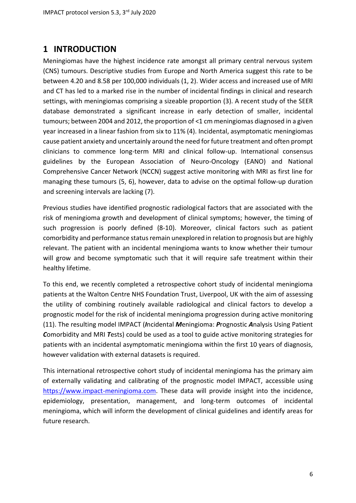## <span id="page-5-0"></span>**1 INTRODUCTION**

Meningiomas have the highest incidence rate amongst all primary central nervous system (CNS) tumours. Descriptive studies from Europe and North America suggest this rate to be between 4.20 and 8.58 per 100,000 individuals (1, 2). Wider access and increased use of MRI and CT has led to a marked rise in the number of incidental findings in clinical and research settings, with meningiomas comprising a sizeable proportion (3). A recent study of the SEER database demonstrated a significant increase in early detection of smaller, incidental tumours; between 2004 and 2012, the proportion of <1 cm meningiomas diagnosed in a given year increased in a linear fashion from six to 11% (4). Incidental, asymptomatic meningiomas cause patient anxiety and uncertainly around the need for future treatment and often prompt clinicians to commence long-term MRI and clinical follow-up. International consensus guidelines by the European Association of Neuro-Oncology (EANO) and National Comprehensive Cancer Network (NCCN) suggest active monitoring with MRI as first line for managing these tumours (5, 6), however, data to advise on the optimal follow-up duration and screening intervals are lacking (7).

Previous studies have identified prognostic radiological factors that are associated with the risk of meningioma growth and development of clinical symptoms; however, the timing of such progression is poorly defined (8-10). Moreover, clinical factors such as patient comorbidity and performance status remain unexplored in relation to prognosis but are highly relevant. The patient with an incidental meningioma wants to know whether their tumour will grow and become symptomatic such that it will require safe treatment within their healthy lifetime.

To this end, we recently completed a retrospective cohort study of incidental meningioma patients at the Walton Centre NHS Foundation Trust, Liverpool, UK with the aim of assessing the utility of combining routinely available radiological and clinical factors to develop a prognostic model for the risk of incidental meningioma progression during active monitoring (11). The resulting model IMPACT (*I*ncidental *M*eningioma: *P*rognostic *A*nalysis Using Patient *C*omorbidity and MRI *T*ests) could be used as a tool to guide active monitoring strategies for patients with an incidental asymptomatic meningioma within the first 10 years of diagnosis, however validation with external datasets is required.

This international retrospective cohort study of incidental meningioma has the primary aim of externally validating and calibrating of the prognostic model IMPACT, accessible using [https://www.impact-meningioma.com.](https://www.impact-meningioma.com/) These data will provide insight into the incidence, epidemiology, presentation, management, and long-term outcomes of incidental meningioma, which will inform the development of clinical guidelines and identify areas for future research.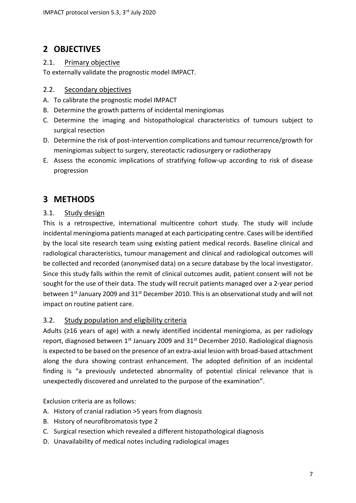# <span id="page-6-0"></span>**2 OBJECTIVES**

#### <span id="page-6-1"></span>2.1. Primary objective

To externally validate the prognostic model IMPACT.

#### 2.2. Secondary objectives

- A. To calibrate the prognostic model IMPACT
- B. Determine the growth patterns of incidental meningiomas
- C. Determine the imaging and histopathological characteristics of tumours subject to surgical resection
- D. Determine the risk of post-intervention complications and tumour recurrence/growth for meningiomas subject to surgery, stereotactic radiosurgery or radiotherapy
- E. Assess the economic implications of stratifying follow-up according to risk of disease progression

# <span id="page-6-2"></span>**3 METHODS**

#### <span id="page-6-3"></span>3.1. Study design

This is a retrospective, international multicentre cohort study. The study will include incidental meningioma patients managed at each participating centre. Cases will be identified by the local site research team using existing patient medical records. Baseline clinical and radiological characteristics, tumour management and clinical and radiological outcomes will be collected and recorded (anonymised data) on a secure database by the local investigator. Since this study falls within the remit of clinical outcomes audit, patient consent will not be sought for the use of their data. The study will recruit patients managed over a 2-year period between 1<sup>st</sup> January 2009 and 31<sup>st</sup> December 2010. This is an observational study and will not impact on routine patient care.

#### <span id="page-6-4"></span>3.2. Study population and eligibility criteria

Adults (≥16 years of age) with a newly identified incidental meningioma, as per radiology report, diagnosed between  $1<sup>st</sup>$  January 2009 and  $31<sup>st</sup>$  December 2010. Radiological diagnosis is expected to be based on the presence of an extra-axial lesion with broad-based attachment along the dura showing contrast enhancement. The adopted definition of an incidental finding is "a previously undetected abnormality of potential clinical relevance that is unexpectedly discovered and unrelated to the purpose of the examination".

Exclusion criteria are as follows:

- A. History of cranial radiation >5 years from diagnosis
- B. History of neurofibromatosis type 2
- C. Surgical resection which revealed a different histopathological diagnosis
- D. Unavailability of medical notes including radiological images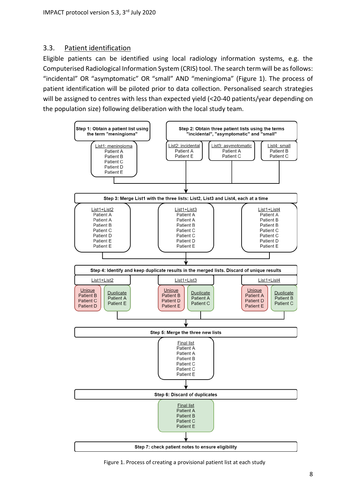#### <span id="page-7-0"></span>3.3. Patient identification

Eligible patients can be identified using local radiology information systems, e.g. the Computerised Radiological Information System (CRIS) tool. The search term will be as follows: "incidental" OR "asymptomatic" OR "small" AND "meningioma" (Figure 1). The process of patient identification will be piloted prior to data collection. Personalised search strategies will be assigned to centres with less than expected yield (<20-40 patients/year depending on the population size) following deliberation with the local study team.



Figure 1. Process of creating a provisional patient list at each study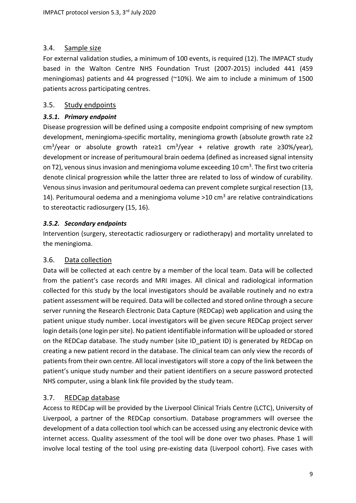#### 3.4. Sample size

For external validation studies, a minimum of 100 events, is required (12). The IMPACT study based in the Walton Centre NHS Foundation Trust (2007-2015) included 441 (459 meningiomas) patients and 44 progressed (~10%). We aim to include a minimum of 1500 patients across participating centres.

#### <span id="page-8-0"></span>3.5. Study endpoints

#### <span id="page-8-1"></span>*3.5.1. Primary endpoint*

Disease progression will be defined using a composite endpoint comprising of new symptom development, meningioma-specific mortality, meningioma growth (absolute growth rate ≥2 cm<sup>3</sup>/year or absolute growth rate≥1 cm<sup>3</sup>/year + relative growth rate ≥30%/year), development or increase of peritumoural brain oedema (defined as increased signal intensity on T2), venous sinus invasion and meningioma volume exceeding 10 cm<sup>3</sup>. The first two criteria denote clinical progression while the latter three are related to loss of window of curability. Venous sinus invasion and peritumoural oedema can prevent complete surgical resection (13, 14). Peritumoural oedema and a meningioma volume  $>10$  cm<sup>3</sup> are relative contraindications to stereotactic radiosurgery (15, 16).

#### <span id="page-8-2"></span>*3.5.2. Secondary endpoints*

Intervention (surgery, stereotactic radiosurgery or radiotherapy) and mortality unrelated to the meningioma.

#### <span id="page-8-3"></span>3.6. Data collection

Data will be collected at each centre by a member of the local team. Data will be collected from the patient's case records and MRI images. All clinical and radiological information collected for this study by the local investigators should be available routinely and no extra patient assessment will be required. Data will be collected and stored online through a secure server running the Research Electronic Data Capture (REDCap) web application and using the patient unique study number. Local investigators will be given secure REDCap project server login details(one login per site). No patient identifiable information will be uploaded orstored on the REDCap database. The study number (site ID patient ID) is generated by REDCap on creating a new patient record in the database. The clinical team can only view the records of patients from their own centre. All local investigators will store a copy of the link between the patient's unique study number and their patient identifiers on a secure password protected NHS computer, using a blank link file provided by the study team.

#### 3.7. REDCap database

Access to REDCap will be provided by the Liverpool Clinical Trials Centre (LCTC), University of Liverpool, a partner of the REDCap consortium. Database programmers will oversee the development of a data collection tool which can be accessed using any electronic device with internet access. Quality assessment of the tool will be done over two phases. Phase 1 will involve local testing of the tool using pre-existing data (Liverpool cohort). Five cases with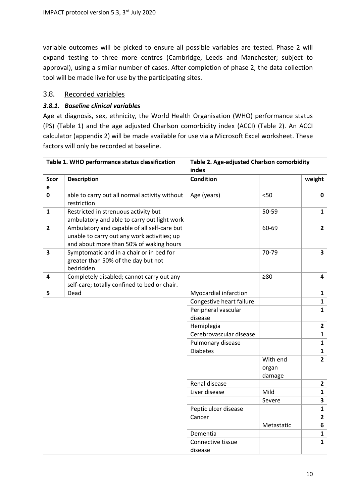variable outcomes will be picked to ensure all possible variables are tested. Phase 2 will expand testing to three more centres (Cambridge, Leeds and Manchester; subject to approval), using a similar number of cases. After completion of phase 2, the data collection tool will be made live for use by the participating sites.

#### 3.8. Recorded variables

#### <span id="page-9-0"></span>*3.8.1. Baseline clinical variables*

Age at diagnosis, sex, ethnicity, the World Health Organisation (WHO) performance status (PS) (Table 1) and the age adjusted Charlson comorbidity index (ACCI) (Table 2). An ACCI calculator (appendix 2) will be made available for use via a Microsoft Excel worksheet. These factors will only be recorded at baseline.

| Table 1. WHO performance status classification |                                                                                                                                       | Table 2. Age-adjusted Charlson comorbidity |            |                         |  |
|------------------------------------------------|---------------------------------------------------------------------------------------------------------------------------------------|--------------------------------------------|------------|-------------------------|--|
|                                                |                                                                                                                                       | index                                      |            |                         |  |
| <b>Scor</b>                                    | <b>Description</b>                                                                                                                    | <b>Condition</b>                           |            | weight                  |  |
| е                                              |                                                                                                                                       |                                            |            |                         |  |
| 0                                              | able to carry out all normal activity without<br>restriction                                                                          | Age (years)                                | $50$       | 0                       |  |
| $\mathbf{1}$                                   | Restricted in strenuous activity but<br>ambulatory and able to carry out light work                                                   |                                            | 50-59      | $\mathbf{1}$            |  |
| $\mathbf{2}$                                   | Ambulatory and capable of all self-care but<br>unable to carry out any work activities; up<br>and about more than 50% of waking hours |                                            | 60-69      | $\overline{2}$          |  |
| 3                                              | Symptomatic and in a chair or in bed for<br>greater than 50% of the day but not<br>bedridden                                          |                                            | 70-79      | $\overline{\mathbf{3}}$ |  |
| 4                                              | Completely disabled; cannot carry out any<br>self-care; totally confined to bed or chair.                                             |                                            | $\geq 80$  | 4                       |  |
| 5                                              | Dead                                                                                                                                  | Myocardial infarction                      |            | $\mathbf{1}$            |  |
|                                                |                                                                                                                                       | Congestive heart failure                   |            | $\mathbf{1}$            |  |
|                                                |                                                                                                                                       | Peripheral vascular                        |            | $\mathbf{1}$            |  |
|                                                |                                                                                                                                       | disease                                    |            |                         |  |
|                                                |                                                                                                                                       | Hemiplegia                                 |            | $\mathbf{2}$            |  |
|                                                |                                                                                                                                       | Cerebrovascular disease                    |            | $\mathbf{1}$            |  |
|                                                |                                                                                                                                       | Pulmonary disease                          |            | $\mathbf{1}$            |  |
|                                                |                                                                                                                                       | <b>Diabetes</b>                            |            | $\mathbf{1}$            |  |
|                                                |                                                                                                                                       |                                            | With end   | $\overline{2}$          |  |
|                                                |                                                                                                                                       |                                            | organ      |                         |  |
|                                                |                                                                                                                                       |                                            | damage     |                         |  |
|                                                |                                                                                                                                       | Renal disease                              |            | $\mathbf{2}$            |  |
|                                                |                                                                                                                                       | Liver disease                              | Mild       | $\mathbf{1}$            |  |
|                                                |                                                                                                                                       |                                            | Severe     | 3                       |  |
|                                                |                                                                                                                                       | Peptic ulcer disease                       |            | $\mathbf{1}$            |  |
|                                                |                                                                                                                                       | Cancer                                     |            | $\overline{2}$          |  |
|                                                |                                                                                                                                       |                                            | Metastatic | 6                       |  |
|                                                |                                                                                                                                       | Dementia                                   |            | $\mathbf{1}$            |  |
|                                                |                                                                                                                                       | Connective tissue<br>disease               |            | $\mathbf{1}$            |  |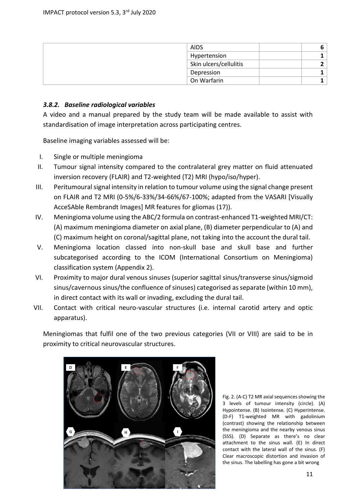| <b>AIDS</b>            | O |
|------------------------|---|
| Hypertension           |   |
| Skin ulcers/cellulitis |   |
| Depression             |   |
| On Warfarin            |   |

#### <span id="page-10-0"></span>*3.8.2. Baseline radiological variables*

A video and a manual prepared by the study team will be made available to assist with standardisation of image interpretation across participating centres.

Baseline imaging variables assessed will be:

- I. Single or multiple meningioma
- II. Tumour signal intensity compared to the contralateral grey matter on fluid attenuated inversion recovery (FLAIR) and T2-weighted (T2) MRI (hypo/iso/hyper).
- III. Peritumoural signal intensity in relation to tumour volume using the signal change present on FLAIR and T2 MRI (0-5%/6-33%/34-66%/67-100%; adapted from the VASARI [Visually AcceSAble Rembrandt Images] MR features for gliomas (17)).
- IV. Meningioma volume using the ABC/2 formula on contrast-enhanced T1-weighted MRI/CT: (A) maximum meningioma diameter on axial plane, (B) diameter perpendicular to (A) and (C) maximum height on coronal/sagittal plane, not taking into the account the dural tail.
- V. Meningioma location classed into non-skull base and skull base and further subcategorised according to the ICOM (International Consortium on Meningioma) classification system (Appendix 2).
- VI. Proximity to major dural venous sinuses (superior sagittal sinus/transverse sinus/sigmoid sinus/cavernous sinus/the confluence of sinuses) categorised as separate (within 10 mm), in direct contact with its wall or invading, excluding the dural tail.
- VII. Contact with critical neuro-vascular structures (i.e. internal carotid artery and optic apparatus).

Meningiomas that fulfil one of the two previous categories (VII or VIII) are said to be in proximity to critical neurovascular structures.



Fig. 2. (A-C) T2 MR axial sequences showing the 3 levels of tumour intensity (circle). (A) Hypointense. (B) Isointense. (C) Hyperintense. (D-F) T1-weighted MR with gadolinium (contrast) showing the relationship between the meningioma and the nearby venous sinus (SSS). (D) Separate as there's no clear attachment to the sinus wall. (E) In direct contact with the lateral wall of the sinus. (F) Clear macroscopic distortion and invasion of the sinus. The labelling has gone a bit wrong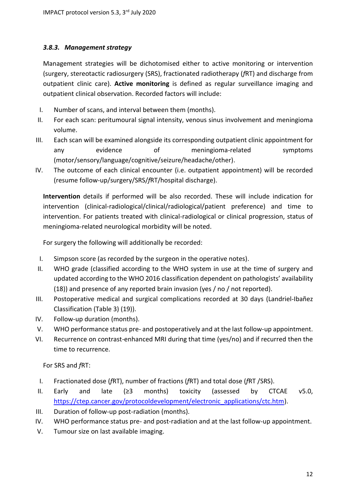#### <span id="page-11-0"></span>*3.8.3. Management strategy*

Management strategies will be dichotomised either to active monitoring or intervention (surgery, stereotactic radiosurgery (SRS), fractionated radiotherapy (*f*RT) and discharge from outpatient clinic care). **Active monitoring** is defined as regular surveillance imaging and outpatient clinical observation. Recorded factors will include:

- I. Number of scans, and interval between them (months).
- II. For each scan: peritumoural signal intensity, venous sinus involvement and meningioma volume.
- III. Each scan will be examined alongside its corresponding outpatient clinic appointment for any evidence of meningioma-related symptoms (motor/sensory/language/cognitive/seizure/headache/other).
- IV. The outcome of each clinical encounter (i.e. outpatient appointment) will be recorded (resume follow-up/surgery/SRS/*f*RT/hospital discharge).

**Intervention** details if performed will be also recorded. These will include indication for intervention (clinical-radiological/clinical/radiological/patient preference) and time to intervention. For patients treated with clinical-radiological or clinical progression, status of meningioma-related neurological morbidity will be noted.

For surgery the following will additionally be recorded:

- I. Simpson score (as recorded by the surgeon in the operative notes).
- II. WHO grade (classified according to the WHO system in use at the time of surgery and updated according to the WHO 2016 classification dependent on pathologists' availability (18)) and presence of any reported brain invasion (yes / no / not reported).
- III. Postoperative medical and surgical complications recorded at 30 days (Landriel-Ibañez Classification (Table 3) (19)).
- IV. Follow-up duration (months).
- V. WHO performance status pre- and postoperatively and at the last follow-up appointment.
- VI. Recurrence on contrast-enhanced MRI during that time (yes/no) and if recurred then the time to recurrence.

For SRS and *f*RT:

- I. Fractionated dose (*f*RT), number of fractions (*f*RT) and total dose (*f*RT /SRS).
- II. Early and late (≥3 months) toxicity (assessed by CTCAE v5.0, [https://ctep.cancer.gov/protocoldevelopment/electronic\\_applications/ctc.htm\)](https://ctep.cancer.gov/protocoldevelopment/electronic_applications/ctc.htm).
- III. Duration of follow-up post-radiation (months).
- IV. WHO performance status pre- and post-radiation and at the last follow-up appointment.
- V. Tumour size on last available imaging.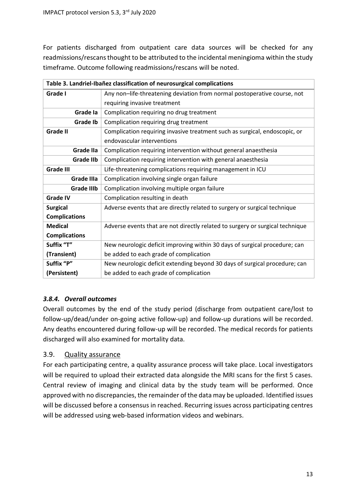For patients discharged from outpatient care data sources will be checked for any readmissions/rescans thought to be attributed to the incidental meningioma within the study timeframe. Outcome following readmissions/rescans will be noted.

| Table 3. Landriel-Ibañez classification of neurosurgical complications |                                                                               |  |  |  |
|------------------------------------------------------------------------|-------------------------------------------------------------------------------|--|--|--|
| Grade I                                                                | Any non-life-threatening deviation from normal postoperative course, not      |  |  |  |
|                                                                        | requiring invasive treatment                                                  |  |  |  |
| Grade la                                                               | Complication requiring no drug treatment                                      |  |  |  |
| <b>Grade Ib</b>                                                        | Complication requiring drug treatment                                         |  |  |  |
| <b>Grade II</b>                                                        | Complication requiring invasive treatment such as surgical, endoscopic, or    |  |  |  |
|                                                                        | endovascular interventions                                                    |  |  |  |
| Grade IIa                                                              | Complication requiring intervention without general anaesthesia               |  |  |  |
| <b>Grade IIb</b>                                                       | Complication requiring intervention with general anaesthesia                  |  |  |  |
| <b>Grade III</b>                                                       | Life-threatening complications requiring management in ICU                    |  |  |  |
| <b>Grade IIIa</b>                                                      | Complication involving single organ failure                                   |  |  |  |
| <b>Grade IIIb</b>                                                      | Complication involving multiple organ failure                                 |  |  |  |
| <b>Grade IV</b>                                                        | Complication resulting in death                                               |  |  |  |
| <b>Surgical</b>                                                        | Adverse events that are directly related to surgery or surgical technique     |  |  |  |
| <b>Complications</b>                                                   |                                                                               |  |  |  |
| <b>Medical</b>                                                         | Adverse events that are not directly related to surgery or surgical technique |  |  |  |
| <b>Complications</b>                                                   |                                                                               |  |  |  |
| Suffix "T"                                                             | New neurologic deficit improving within 30 days of surgical procedure; can    |  |  |  |
| (Transient)                                                            | be added to each grade of complication                                        |  |  |  |
| Suffix "P"                                                             | New neurologic deficit extending beyond 30 days of surgical procedure; can    |  |  |  |
| (Persistent)                                                           | be added to each grade of complication                                        |  |  |  |

#### <span id="page-12-0"></span>*3.8.4. Overall outcomes*

Overall outcomes by the end of the study period (discharge from outpatient care/lost to follow-up/dead/under on-going active follow-up) and follow-up durations will be recorded. Any deaths encountered during follow-up will be recorded. The medical records for patients discharged will also examined for mortality data.

#### <span id="page-12-1"></span>3.9. Quality assurance

For each participating centre, a quality assurance process will take place. Local investigators will be required to upload their extracted data alongside the MRI scans for the first 5 cases. Central review of imaging and clinical data by the study team will be performed. Once approved with no discrepancies, the remainder of the data may be uploaded. Identified issues will be discussed before a consensus in reached. Recurring issues across participating centres will be addressed using web-based information videos and webinars.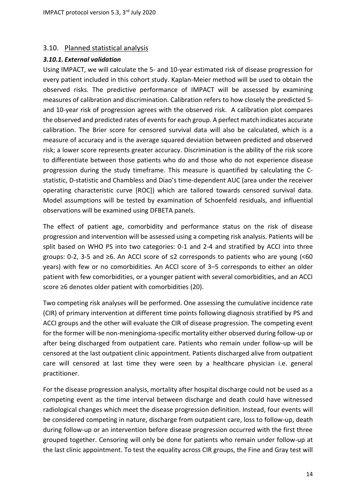#### <span id="page-13-0"></span>3.10. Planned statistical analysis

#### <span id="page-13-1"></span>*3.10.1. External validation*

Using IMPACT, we will calculate the 5- and 10-year estimated risk of disease progression for every patient included in this cohort study. Kaplan-Meier method will be used to obtain the observed risks. The predictive performance of IMPACT will be assessed by examining measures of calibration and discrimination. Calibration refers to how closely the predicted 5 and 10-year risk of progression agrees with the observed risk. A calibration plot compares the observed and predicted rates of events for each group. A perfect match indicates accurate calibration. The Brier score for censored survival data will also be calculated, which is a measure of accuracy and is the average squared deviation between predicted and observed risk; a lower score represents greater accuracy. Discrimination is the ability of the risk score to differentiate between those patients who do and those who do not experience disease progression during the study timeframe. This measure is quantified by calculating the Cstatistic, D-statistic and Chambless and Diao's time-dependent AUC (area under the receiver operating characteristic curve [ROC]) which are tailored towards censored survival data. Model assumptions will be tested by examination of Schoenfeld residuals, and influential observations will be examined using DFBETA panels.

The effect of patient age, comorbidity and performance status on the risk of disease progression and intervention will be assessed using a competing risk analysis. Patients will be split based on WHO PS into two categories: 0-1 and 2-4 and stratified by ACCI into three groups: 0-2, 3-5 and ≥6. An ACCI score of ≤2 corresponds to patients who are young (<60 years) with few or no comorbidities. An ACCI score of 3–5 corresponds to either an older patient with few comorbidities, or a younger patient with several comorbidities, and an ACCI score ≥6 denotes older patient with comorbidities (20).

Two competing risk analyses will be performed. One assessing the cumulative incidence rate (CIR) of primary intervention at different time points following diagnosis stratified by PS and ACCI groups and the other will evaluate the CIR of disease progression. The competing event for the former will be non-meningioma-specific mortality either observed during follow-up or after being discharged from outpatient care. Patients who remain under follow-up will be censored at the last outpatient clinic appointment. Patients discharged alive from outpatient care will censored at last time they were seen by a healthcare physician i.e. general practitioner.

For the disease progression analysis, mortality after hospital discharge could not be used as a competing event as the time interval between discharge and death could have witnessed radiological changes which meet the disease progression definition. Instead, four events will be considered competing in nature, discharge from outpatient care, loss to follow-up, death during follow-up or an intervention before disease progression occurred with the first three grouped together. Censoring will only be done for patients who remain under follow-up at the last clinic appointment. To test the equality across CIR groups, the Fine and Gray test will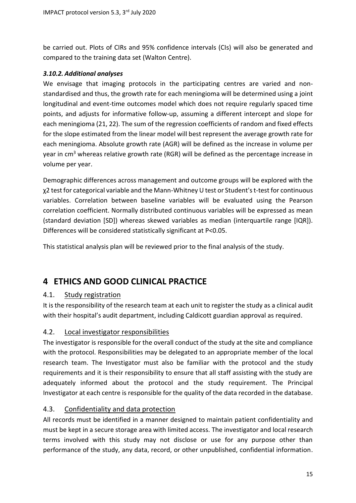be carried out. Plots of CIRs and 95% confidence intervals (CIs) will also be generated and compared to the training data set (Walton Centre).

#### <span id="page-14-0"></span>*3.10.2. Additional analyses*

We envisage that imaging protocols in the participating centres are varied and nonstandardised and thus, the growth rate for each meningioma will be determined using a joint longitudinal and event-time outcomes model which does not require regularly spaced time points, and adjusts for informative follow-up, assuming a different intercept and slope for each meningioma (21, 22). The sum of the regression coefficients of random and fixed effects for the slope estimated from the linear model will best represent the average growth rate for each meningioma. Absolute growth rate (AGR) will be defined as the increase in volume per year in cm<sup>3</sup> whereas relative growth rate (RGR) will be defined as the percentage increase in volume per year.

Demographic differences across management and outcome groups will be explored with the χ2 test for categorical variable and the Mann-Whitney U test or Student's t-test for continuous variables. Correlation between baseline variables will be evaluated using the Pearson correlation coefficient. Normally distributed continuous variables will be expressed as mean (standard deviation [SD]) whereas skewed variables as median (interquartile range [IQR]). Differences will be considered statistically significant at P<0.05.

This statistical analysis plan will be reviewed prior to the final analysis of the study.

# <span id="page-14-1"></span>**4 ETHICS AND GOOD CLINICAL PRACTICE**

#### <span id="page-14-2"></span>4.1. Study registration

It is the responsibility of the research team at each unit to register the study as a clinical audit with their hospital's audit department, including Caldicott guardian approval as required.

#### <span id="page-14-3"></span>4.2. Local investigator responsibilities

The investigator is responsible for the overall conduct of the study at the site and compliance with the protocol. Responsibilities may be delegated to an appropriate member of the local research team. The Investigator must also be familiar with the protocol and the study requirements and it is their responsibility to ensure that all staff assisting with the study are adequately informed about the protocol and the study requirement. The Principal Investigator at each centre is responsible for the quality of the data recorded in the database.

#### <span id="page-14-4"></span>4.3. Confidentiality and data protection

All records must be identified in a manner designed to maintain patient confidentiality and must be kept in a secure storage area with limited access. The investigator and local research terms involved with this study may not disclose or use for any purpose other than performance of the study, any data, record, or other unpublished, confidential information.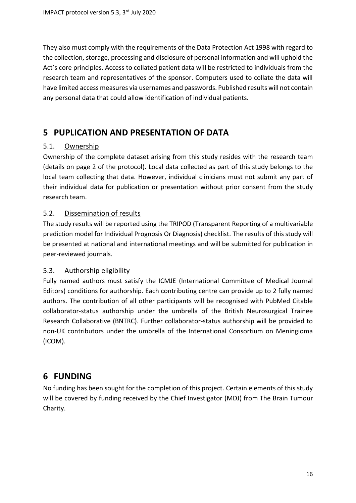They also must comply with the requirements of the Data Protection Act 1998 with regard to the collection, storage, processing and disclosure of personal information and will uphold the Act's core principles. Access to collated patient data will be restricted to individuals from the research team and representatives of the sponsor. Computers used to collate the data will have limited access measures via usernames and passwords. Published results will not contain any personal data that could allow identification of individual patients.

# <span id="page-15-0"></span>**5 PUPLICATION AND PRESENTATION OF DATA**

#### <span id="page-15-1"></span>5.1. Ownership

Ownership of the complete dataset arising from this study resides with the research team (details on page 2 of the protocol). Local data collected as part of this study belongs to the local team collecting that data. However, individual clinicians must not submit any part of their individual data for publication or presentation without prior consent from the study research team.

#### <span id="page-15-2"></span>5.2. Dissemination of results

The study results will be reported using the TRIPOD (Transparent Reporting of a multivariable prediction model for Individual Prognosis Or Diagnosis) checklist. The results of this study will be presented at national and international meetings and will be submitted for publication in peer-reviewed journals.

#### <span id="page-15-3"></span>5.3. Authorship eligibility

Fully named authors must satisfy the ICMJE (International Committee of Medical Journal Editors) conditions for authorship. Each contributing centre can provide up to 2 fully named authors. The contribution of all other participants will be recognised with PubMed Citable collaborator-status authorship under the umbrella of the British Neurosurgical Trainee Research Collaborative (BNTRC). Further collaborator-status authorship will be provided to non-UK contributors under the umbrella of the International Consortium on Meningioma (ICOM).

# <span id="page-15-4"></span>**6 FUNDING**

No funding has been sought for the completion of this project. Certain elements of this study will be covered by funding received by the Chief Investigator (MDJ) from The Brain Tumour Charity.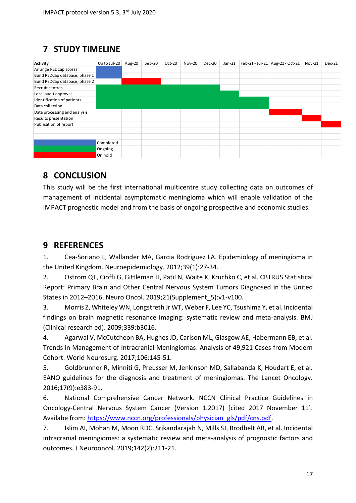# <span id="page-16-0"></span>**7 STUDY TIMELINE**

| Activity                       | Up to Jul-20 | Aug-20 | $Sep-20$ | Oct-20 | <b>Nov-20</b> | Dec-20 | $Jan-21$ | Feb-21 - Jul-21 Aug-21 - Oct-21 | <b>Nov-21</b> | Dec-21 |
|--------------------------------|--------------|--------|----------|--------|---------------|--------|----------|---------------------------------|---------------|--------|
| Arrange REDCap access          |              |        |          |        |               |        |          |                                 |               |        |
| Build REDCap database, phase 1 |              |        |          |        |               |        |          |                                 |               |        |
| Build REDCap database, phase 2 |              |        |          |        |               |        |          |                                 |               |        |
| Recruit centres                |              |        |          |        |               |        |          |                                 |               |        |
| Local audit approval           |              |        |          |        |               |        |          |                                 |               |        |
| Identification of patients     |              |        |          |        |               |        |          |                                 |               |        |
| Data collection                |              |        |          |        |               |        |          |                                 |               |        |
| Data processing and analysis   |              |        |          |        |               |        |          |                                 |               |        |
| Results presentation           |              |        |          |        |               |        |          |                                 |               |        |
| Publication of report          |              |        |          |        |               |        |          |                                 |               |        |
|                                |              |        |          |        |               |        |          |                                 |               |        |
|                                |              |        |          |        |               |        |          |                                 |               |        |
|                                | Completed    |        |          |        |               |        |          |                                 |               |        |
|                                | Ongoing      |        |          |        |               |        |          |                                 |               |        |
|                                | On hold      |        |          |        |               |        |          |                                 |               |        |

# <span id="page-16-1"></span>**8 CONCLUSION**

This study will be the first international multicentre study collecting data on outcomes of management of incidental asymptomatic meningioma which will enable validation of the IMPACT prognostic model and from the basis of ongoing prospective and economic studies.

### <span id="page-16-2"></span>**9 REFERENCES**

1. Cea-Soriano L, Wallander MA, Garcia Rodriguez LA. Epidemiology of meningioma in the United Kingdom. Neuroepidemiology. 2012;39(1):27-34.

2. Ostrom QT, Cioffi G, Gittleman H, Patil N, Waite K, Kruchko C, et al. CBTRUS Statistical Report: Primary Brain and Other Central Nervous System Tumors Diagnosed in the United States in 2012–2016. Neuro Oncol. 2019;21(Supplement\_5):v1-v100.

3. Morris Z, Whiteley WN, Longstreth Jr WT, Weber F, Lee YC, Tsushima Y, et al. Incidental findings on brain magnetic resonance imaging: systematic review and meta-analysis. BMJ (Clinical research ed). 2009;339:b3016.

4. Agarwal V, McCutcheon BA, Hughes JD, Carlson ML, Glasgow AE, Habermann EB, et al. Trends in Management of Intracranial Meningiomas: Analysis of 49,921 Cases from Modern Cohort. World Neurosurg. 2017;106:145-51.

5. Goldbrunner R, Minniti G, Preusser M, Jenkinson MD, Sallabanda K, Houdart E, et al. EANO guidelines for the diagnosis and treatment of meningiomas. The Lancet Oncology. 2016;17(9):e383-91.

6. National Comprehensive Cancer Network. NCCN Clinical Practice Guidelines in Oncology-Central Nervous System Cancer (Version 1.2017) [cited 2017 November 11]. Availabe from: [https://www.nccn.org/professionals/physician\\_gls/pdf/cns.pdf.](https://www.nccn.org/professionals/physician_gls/pdf/cns.pdf)

7. Islim AI, Mohan M, Moon RDC, Srikandarajah N, Mills SJ, Brodbelt AR, et al. Incidental intracranial meningiomas: a systematic review and meta-analysis of prognostic factors and outcomes. J Neurooncol. 2019;142(2):211-21.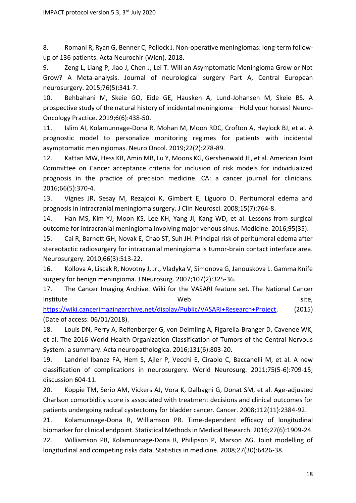8. Romani R, Ryan G, Benner C, Pollock J. Non-operative meningiomas: long-term followup of 136 patients. Acta Neurochir (Wien). 2018.

9. Zeng L, Liang P, Jiao J, Chen J, Lei T. Will an Asymptomatic Meningioma Grow or Not Grow? A Meta-analysis. Journal of neurological surgery Part A, Central European neurosurgery. 2015;76(5):341-7.

10. Behbahani M, Skeie GO, Eide GE, Hausken A, Lund-Johansen M, Skeie BS. A prospective study of the natural history of incidental meningioma—Hold your horses! Neuro-Oncology Practice. 2019;6(6):438-50.

11. Islim AI, Kolamunnage-Dona R, Mohan M, Moon RDC, Crofton A, Haylock BJ, et al. A prognostic model to personalize monitoring regimes for patients with incidental asymptomatic meningiomas. Neuro Oncol. 2019;22(2):278-89.

12. Kattan MW, Hess KR, Amin MB, Lu Y, Moons KG, Gershenwald JE, et al. American Joint Committee on Cancer acceptance criteria for inclusion of risk models for individualized prognosis in the practice of precision medicine. CA: a cancer journal for clinicians. 2016;66(5):370-4.

13. Vignes JR, Sesay M, Rezajooi K, Gimbert E, Liguoro D. Peritumoral edema and prognosis in intracranial meningioma surgery. J Clin Neurosci. 2008;15(7):764-8.

14. Han MS, Kim YJ, Moon KS, Lee KH, Yang JI, Kang WD, et al. Lessons from surgical outcome for intracranial meningioma involving major venous sinus. Medicine. 2016;95(35).

15. Cai R, Barnett GH, Novak E, Chao ST, Suh JH. Principal risk of peritumoral edema after stereotactic radiosurgery for intracranial meningioma is tumor-brain contact interface area. Neurosurgery. 2010;66(3):513-22.

16. Kollova A, Liscak R, Novotny J, Jr., Vladyka V, Simonova G, Janouskova L. Gamma Knife surgery for benign meningioma. J Neurosurg. 2007;107(2):325-36.

17. The Cancer Imaging Archive. Wiki for the VASARI feature set. The National Cancer Institute state of the state of the Meb and the Society of the Site, the Site, the Site, the Site, the Site, the Site of the Site of the Site of the Site of the Site of the Site of the Site of the Site of the Site of the S

[https://wiki.cancerimagingarchive.net/display/Public/VASARI+Research+Project.](https://wiki.cancerimagingarchive.net/display/Public/VASARI+Research+Project) (2015) (Date of access: 06/01/2018).

18. Louis DN, Perry A, Reifenberger G, von Deimling A, Figarella-Branger D, Cavenee WK, et al. The 2016 World Health Organization Classification of Tumors of the Central Nervous System: a summary. Acta neuropathologica. 2016;131(6):803-20.

19. Landriel Ibanez FA, Hem S, Ajler P, Vecchi E, Ciraolo C, Baccanelli M, et al. A new classification of complications in neurosurgery. World Neurosurg. 2011;75(5-6):709-15; discussion 604-11.

20. Koppie TM, Serio AM, Vickers AJ, Vora K, Dalbagni G, Donat SM, et al. Age-adjusted Charlson comorbidity score is associated with treatment decisions and clinical outcomes for patients undergoing radical cystectomy for bladder cancer. Cancer. 2008;112(11):2384-92.

21. Kolamunnage-Dona R, Williamson PR. Time-dependent efficacy of longitudinal biomarker for clinical endpoint. Statistical Methods in Medical Research. 2016;27(6):1909-24.

22. Williamson PR, Kolamunnage-Dona R, Philipson P, Marson AG. Joint modelling of longitudinal and competing risks data. Statistics in medicine. 2008;27(30):6426-38.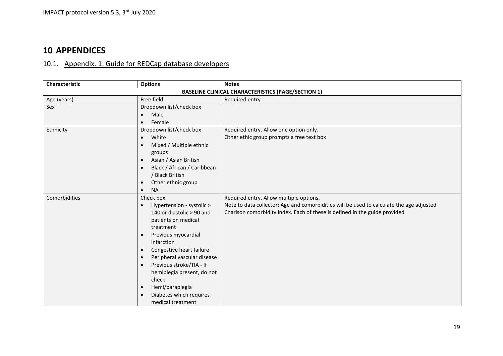# **10 APPENDICES**

# 10.1. Appendix. 1. Guide for REDCap database developers

<span id="page-18-1"></span><span id="page-18-0"></span>

| Characteristic | <b>Options</b>                           | <b>Notes</b>                                                                             |
|----------------|------------------------------------------|------------------------------------------------------------------------------------------|
|                |                                          | <b>BASELINE CLINICAL CHARACTERISTICS (PAGE/SECTION 1)</b>                                |
| Age (years)    | Free field                               | Required entry                                                                           |
| Sex            | Dropdown list/check box                  |                                                                                          |
|                | Male<br>$\bullet$                        |                                                                                          |
|                | Female<br>$\bullet$                      |                                                                                          |
| Ethnicity      | Dropdown list/check box                  | Required entry. Allow one option only.                                                   |
|                | White<br>$\bullet$                       | Other ethic group prompts a free text box                                                |
|                | Mixed / Multiple ethnic<br>$\bullet$     |                                                                                          |
|                | groups                                   |                                                                                          |
|                | Asian / Asian British<br>$\bullet$       |                                                                                          |
|                | Black / African / Caribbean<br>$\bullet$ |                                                                                          |
|                | / Black British                          |                                                                                          |
|                | Other ethnic group<br>$\bullet$          |                                                                                          |
|                | <b>NA</b><br>$\bullet$                   |                                                                                          |
| Comorbidities  | Check box                                | Required entry. Allow multiple options.                                                  |
|                | Hypertension - systolic ><br>$\bullet$   | Note to data collector: Age and comorbidities will be used to calculate the age adjusted |
|                | 140 or diastolic > 90 and                | Charlson comorbidity index. Each of these is defined in the guide provided               |
|                | patients on medical                      |                                                                                          |
|                | treatment                                |                                                                                          |
|                | Previous myocardial<br>$\bullet$         |                                                                                          |
|                | infarction                               |                                                                                          |
|                | Congestive heart failure<br>$\bullet$    |                                                                                          |
|                | Peripheral vascular disease<br>$\bullet$ |                                                                                          |
|                | Previous stroke/TIA - If<br>$\bullet$    |                                                                                          |
|                | hemiplegia present, do not               |                                                                                          |
|                | check                                    |                                                                                          |
|                | Hemi/paraplegia<br>$\bullet$             |                                                                                          |
|                | Diabetes which requires<br>$\bullet$     |                                                                                          |
|                | medical treatment                        |                                                                                          |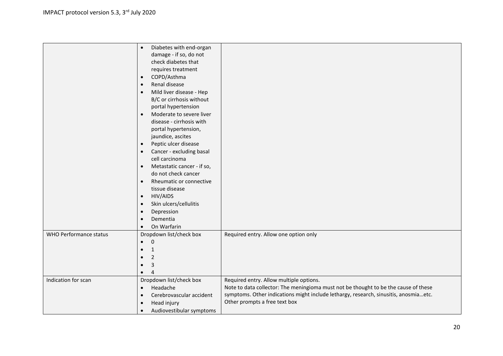|                        | Diabetes with end-organ<br>$\bullet$    |                                                                                      |
|------------------------|-----------------------------------------|--------------------------------------------------------------------------------------|
|                        | damage - if so, do not                  |                                                                                      |
|                        | check diabetes that                     |                                                                                      |
|                        |                                         |                                                                                      |
|                        | requires treatment                      |                                                                                      |
|                        | COPD/Asthma<br>$\bullet$                |                                                                                      |
|                        | Renal disease<br>$\bullet$              |                                                                                      |
|                        | Mild liver disease - Hep<br>$\bullet$   |                                                                                      |
|                        | B/C or cirrhosis without                |                                                                                      |
|                        | portal hypertension                     |                                                                                      |
|                        | Moderate to severe liver<br>$\bullet$   |                                                                                      |
|                        | disease - cirrhosis with                |                                                                                      |
|                        | portal hypertension,                    |                                                                                      |
|                        | jaundice, ascites                       |                                                                                      |
|                        | Peptic ulcer disease<br>$\bullet$       |                                                                                      |
|                        | Cancer - excluding basal<br>$\bullet$   |                                                                                      |
|                        | cell carcinoma                          |                                                                                      |
|                        | Metastatic cancer - if so,<br>$\bullet$ |                                                                                      |
|                        | do not check cancer                     |                                                                                      |
|                        | Rheumatic or connective<br>$\bullet$    |                                                                                      |
|                        | tissue disease                          |                                                                                      |
|                        | <b>HIV/AIDS</b><br>$\bullet$            |                                                                                      |
|                        | Skin ulcers/cellulitis<br>$\bullet$     |                                                                                      |
|                        | Depression<br>$\bullet$                 |                                                                                      |
|                        | Dementia<br>$\bullet$                   |                                                                                      |
|                        | On Warfarin<br>$\bullet$                |                                                                                      |
| WHO Performance status |                                         |                                                                                      |
|                        | Dropdown list/check box                 | Required entry. Allow one option only                                                |
|                        | $\mathbf 0$                             |                                                                                      |
|                        | $\mathbf{1}$                            |                                                                                      |
|                        | $\overline{2}$                          |                                                                                      |
|                        | 3                                       |                                                                                      |
|                        |                                         |                                                                                      |
| Indication for scan    | Dropdown list/check box                 | Required entry. Allow multiple options.                                              |
|                        | Headache<br>$\bullet$                   | Note to data collector: The meningioma must not be thought to be the cause of these  |
|                        | Cerebrovascular accident<br>$\bullet$   | symptoms. Other indications might include lethargy, research, sinusitis, anosmiaetc. |
|                        | Head injury<br>$\bullet$                | Other prompts a free text box                                                        |
|                        | Audiovestibular symptoms                |                                                                                      |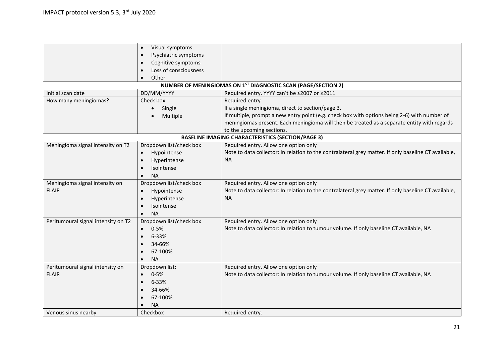|                                     | Visual symptoms<br>$\bullet$      |                                                                                                      |
|-------------------------------------|-----------------------------------|------------------------------------------------------------------------------------------------------|
|                                     | Psychiatric symptoms<br>$\bullet$ |                                                                                                      |
|                                     | Cognitive symptoms                |                                                                                                      |
|                                     | Loss of consciousness             |                                                                                                      |
|                                     | Other                             |                                                                                                      |
|                                     |                                   | NUMBER OF MENINGIOMAS ON 1ST DIAGNOSTIC SCAN (PAGE/SECTION 2)                                        |
| Initial scan date                   | DD/MM/YYYY                        | Required entry. YYYY can't be ≤2007 or ≥2011                                                         |
| How many meningiomas?               | Check box                         | Required entry                                                                                       |
|                                     | Single<br>$\bullet$               | If a single meningioma, direct to section/page 3.                                                    |
|                                     | Multiple                          | If multiple, prompt a new entry point (e.g. check box with options being 2-6) with number of         |
|                                     |                                   | meningiomas present. Each meningioma will then be treated as a separate entity with regards          |
|                                     |                                   | to the upcoming sections.                                                                            |
|                                     |                                   | <b>BASELINE IMAGING CHARACTERISTICS (SECTION/PAGE 3)</b>                                             |
| Meningioma signal intensity on T2   | Dropdown list/check box           | Required entry. Allow one option only                                                                |
|                                     | Hypointense<br>$\bullet$          | Note to data collector: In relation to the contralateral grey matter. If only baseline CT available, |
|                                     | Hyperintense<br>$\bullet$         | <b>NA</b>                                                                                            |
|                                     | Isointense                        |                                                                                                      |
|                                     | <b>NA</b>                         |                                                                                                      |
| Meningioma signal intensity on      | Dropdown list/check box           | Required entry. Allow one option only                                                                |
| <b>FLAIR</b>                        | Hypointense<br>$\bullet$          | Note to data collector: In relation to the contralateral grey matter. If only baseline CT available, |
|                                     | Hyperintense                      | <b>NA</b>                                                                                            |
|                                     | Isointense                        |                                                                                                      |
|                                     | <b>NA</b>                         |                                                                                                      |
| Peritumoural signal intensity on T2 | Dropdown list/check box           | Required entry. Allow one option only                                                                |
|                                     | $0 - 5%$                          | Note to data collector: In relation to tumour volume. If only baseline CT available, NA              |
|                                     | 6-33%                             |                                                                                                      |
|                                     | 34-66%                            |                                                                                                      |
|                                     | 67-100%                           |                                                                                                      |
|                                     | <b>NA</b>                         |                                                                                                      |
| Peritumoural signal intensity on    | Dropdown list:                    | Required entry. Allow one option only                                                                |
| <b>FLAIR</b>                        | $0 - 5%$                          | Note to data collector: In relation to tumour volume. If only baseline CT available, NA              |
|                                     | 6-33%<br>$\bullet$                |                                                                                                      |
|                                     | 34-66%<br>$\bullet$               |                                                                                                      |
|                                     | 67-100%                           |                                                                                                      |
|                                     | <b>NA</b>                         |                                                                                                      |
| Venous sinus nearby                 | Checkbox                          | Required entry.                                                                                      |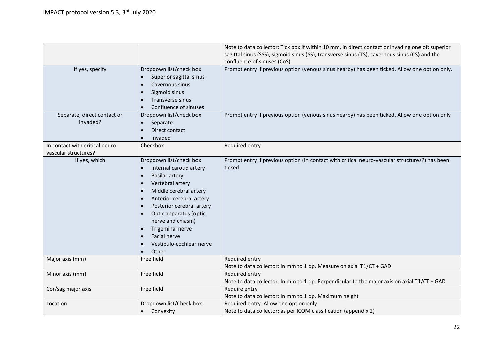|                                                         |                                                                                                                                                                                                                                                                                                                                                                             | Note to data collector: Tick box if within 10 mm, in direct contact or invading one of: superior                             |
|---------------------------------------------------------|-----------------------------------------------------------------------------------------------------------------------------------------------------------------------------------------------------------------------------------------------------------------------------------------------------------------------------------------------------------------------------|------------------------------------------------------------------------------------------------------------------------------|
|                                                         |                                                                                                                                                                                                                                                                                                                                                                             | sagittal sinus (SSS), sigmoid sinus (SS), transverse sinus (TS), cavernous sinus (CS) and the<br>confluence of sinuses (CoS) |
| If yes, specify                                         | Dropdown list/check box<br>Superior sagittal sinus<br>$\bullet$<br>Cavernous sinus<br>$\bullet$<br>Sigmoid sinus<br>$\bullet$<br>Transverse sinus<br>Confluence of sinuses                                                                                                                                                                                                  | Prompt entry if previous option (venous sinus nearby) has been ticked. Allow one option only.                                |
| Separate, direct contact or<br>invaded?                 | Dropdown list/check box<br>Separate<br>Direct contact<br>Invaded<br>$\bullet$                                                                                                                                                                                                                                                                                               | Prompt entry if previous option (venous sinus nearby) has been ticked. Allow one option only                                 |
| In contact with critical neuro-<br>vascular structures? | Checkbox                                                                                                                                                                                                                                                                                                                                                                    | Required entry                                                                                                               |
| If yes, which                                           | Dropdown list/check box<br>Internal carotid artery<br>$\bullet$<br><b>Basilar artery</b><br>$\bullet$<br>Vertebral artery<br>$\bullet$<br>Middle cerebral artery<br>Anterior cerebral artery<br>Posterior cerebral artery<br>Optic apparatus (optic<br>nerve and chiasm)<br>Trigeminal nerve<br>$\bullet$<br>Facial nerve<br>Vestibulo-cochlear nerve<br>Other<br>$\bullet$ | Prompt entry if previous option (In contact with critical neuro-vascular structures?) has been<br>ticked                     |
| Major axis (mm)                                         | Free field                                                                                                                                                                                                                                                                                                                                                                  | Required entry<br>Note to data collector: In mm to 1 dp. Measure on axial T1/CT + GAD                                        |
| Minor axis (mm)                                         | Free field                                                                                                                                                                                                                                                                                                                                                                  | Required entry<br>Note to data collector: In mm to 1 dp. Perpendicular to the major axis on axial T1/CT + GAD                |
| Cor/sag major axis                                      | Free field                                                                                                                                                                                                                                                                                                                                                                  | Require entry<br>Note to data collector: In mm to 1 dp. Maximum height                                                       |
| Location                                                | Dropdown list/Check box<br>Convexity<br>$\bullet$                                                                                                                                                                                                                                                                                                                           | Required entry. Allow one option only<br>Note to data collector: as per ICOM classification (appendix 2)                     |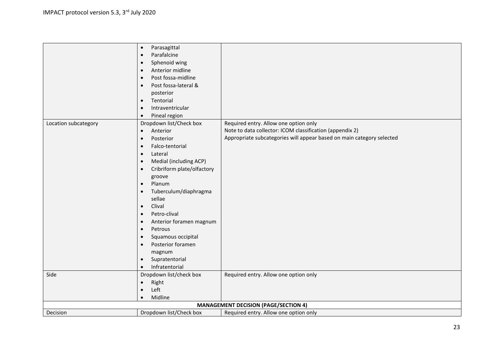|                                             | Parasagittal<br>$\bullet$               |                                                                       |
|---------------------------------------------|-----------------------------------------|-----------------------------------------------------------------------|
|                                             | Parafalcine<br>$\bullet$                |                                                                       |
|                                             | Sphenoid wing<br>$\bullet$              |                                                                       |
|                                             | Anterior midline<br>$\bullet$           |                                                                       |
|                                             | Post fossa-midline<br>$\bullet$         |                                                                       |
|                                             | Post fossa-lateral &<br>$\bullet$       |                                                                       |
|                                             | posterior                               |                                                                       |
|                                             | Tentorial<br>$\bullet$                  |                                                                       |
|                                             | Intraventricular<br>$\bullet$           |                                                                       |
|                                             | Pineal region<br>$\bullet$              |                                                                       |
| Location subcategory                        | Dropdown list/Check box                 | Required entry. Allow one option only                                 |
|                                             | Anterior<br>$\bullet$                   | Note to data collector: ICOM classification (appendix 2)              |
|                                             | Posterior<br>$\bullet$                  | Appropriate subcategories will appear based on main category selected |
|                                             | Falco-tentorial<br>$\bullet$            |                                                                       |
|                                             | Lateral<br>$\bullet$                    |                                                                       |
|                                             | $\bullet$                               |                                                                       |
|                                             | Medial (including ACP)                  |                                                                       |
|                                             | Cribriform plate/olfactory<br>$\bullet$ |                                                                       |
|                                             | groove                                  |                                                                       |
|                                             | Planum<br>$\bullet$                     |                                                                       |
|                                             | Tuberculum/diaphragma<br>$\bullet$      |                                                                       |
|                                             | sellae                                  |                                                                       |
|                                             | Clival<br>$\bullet$                     |                                                                       |
|                                             | Petro-clival<br>$\bullet$               |                                                                       |
|                                             | Anterior foramen magnum<br>$\bullet$    |                                                                       |
|                                             | Petrous<br>$\bullet$                    |                                                                       |
|                                             | Squamous occipital<br>$\bullet$         |                                                                       |
|                                             | Posterior foramen<br>$\bullet$          |                                                                       |
|                                             | magnum                                  |                                                                       |
|                                             | Supratentorial<br>$\bullet$             |                                                                       |
|                                             | Infratentorial<br>$\bullet$             |                                                                       |
| Side                                        | Dropdown list/check box                 | Required entry. Allow one option only                                 |
|                                             | Right<br>$\bullet$                      |                                                                       |
|                                             | Left<br>$\bullet$                       |                                                                       |
|                                             | Midline<br>$\bullet$                    |                                                                       |
| <b>MANAGEMENT DECISION (PAGE/SECTION 4)</b> |                                         |                                                                       |
| Decision                                    | Dropdown list/Check box                 | Required entry. Allow one option only                                 |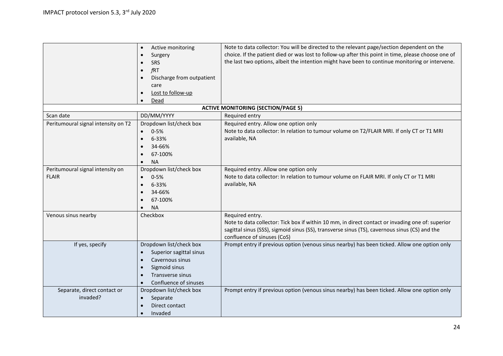|                                     | Active monitoring<br>$\bullet$         | Note to data collector: You will be directed to the relevant page/section dependent on the          |
|-------------------------------------|----------------------------------------|-----------------------------------------------------------------------------------------------------|
|                                     | $\bullet$                              | choice. If the patient died or was lost to follow-up after this point in time, please choose one of |
|                                     | Surgery                                | the last two options, albeit the intention might have been to continue monitoring or intervene.     |
|                                     | SRS                                    |                                                                                                     |
|                                     | fRT<br>$\bullet$                       |                                                                                                     |
|                                     | Discharge from outpatient<br>$\bullet$ |                                                                                                     |
|                                     | care                                   |                                                                                                     |
|                                     | Lost to follow-up                      |                                                                                                     |
|                                     | Dead                                   |                                                                                                     |
|                                     |                                        | <b>ACTIVE MONITORING (SECTION/PAGE 5)</b>                                                           |
| Scan date                           | DD/MM/YYYY                             | Required entry                                                                                      |
| Peritumoural signal intensity on T2 | Dropdown list/check box                | Required entry. Allow one option only                                                               |
|                                     | $0 - 5%$<br>$\bullet$                  | Note to data collector: In relation to tumour volume on T2/FLAIR MRI. If only CT or T1 MRI          |
|                                     | 6-33%<br>$\bullet$                     | available, NA                                                                                       |
|                                     | 34-66%<br>$\bullet$                    |                                                                                                     |
|                                     | 67-100%                                |                                                                                                     |
|                                     | <b>NA</b><br>$\bullet$                 |                                                                                                     |
| Peritumoural signal intensity on    | Dropdown list/check box                | Required entry. Allow one option only                                                               |
| <b>FLAIR</b>                        | $0 - 5%$                               | Note to data collector: In relation to tumour volume on FLAIR MRI. If only CT or T1 MRI             |
|                                     | 6-33%                                  | available, NA                                                                                       |
|                                     | 34-66%                                 |                                                                                                     |
|                                     | 67-100%                                |                                                                                                     |
|                                     |                                        |                                                                                                     |
|                                     | <b>NA</b>                              |                                                                                                     |
| Venous sinus nearby                 | Checkbox                               | Required entry.                                                                                     |
|                                     |                                        | Note to data collector: Tick box if within 10 mm, in direct contact or invading one of: superior    |
|                                     |                                        | sagittal sinus (SSS), sigmoid sinus (SS), transverse sinus (TS), cavernous sinus (CS) and the       |
|                                     |                                        | confluence of sinuses (CoS)                                                                         |
| If yes, specify                     | Dropdown list/check box                | Prompt entry if previous option (venous sinus nearby) has been ticked. Allow one option only        |
|                                     | Superior sagittal sinus                |                                                                                                     |
|                                     | Cavernous sinus<br>$\bullet$           |                                                                                                     |
|                                     | Sigmoid sinus<br>$\bullet$             |                                                                                                     |
|                                     | Transverse sinus                       |                                                                                                     |
|                                     | Confluence of sinuses                  |                                                                                                     |
| Separate, direct contact or         | Dropdown list/check box                | Prompt entry if previous option (venous sinus nearby) has been ticked. Allow one option only        |
| invaded?                            | Separate<br>$\bullet$                  |                                                                                                     |
|                                     | Direct contact                         |                                                                                                     |
|                                     | Invaded<br>$\bullet$                   |                                                                                                     |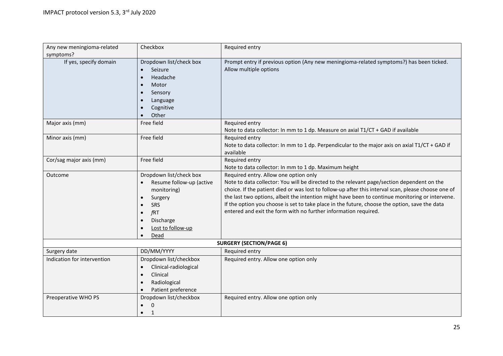| Any new meningioma-related  | Checkbox                                        | Required entry                                                                                                    |
|-----------------------------|-------------------------------------------------|-------------------------------------------------------------------------------------------------------------------|
| symptoms?                   |                                                 |                                                                                                                   |
| If yes, specify domain      | Dropdown list/check box<br>Seizure<br>$\bullet$ | Prompt entry if previous option (Any new meningioma-related symptoms?) has been ticked.<br>Allow multiple options |
|                             | Headache<br>$\bullet$                           |                                                                                                                   |
|                             | Motor                                           |                                                                                                                   |
|                             | Sensory<br>$\bullet$                            |                                                                                                                   |
|                             | Language                                        |                                                                                                                   |
|                             | Cognitive                                       |                                                                                                                   |
|                             | Other                                           |                                                                                                                   |
| Major axis (mm)             | Free field                                      | Required entry                                                                                                    |
|                             |                                                 | Note to data collector: In mm to 1 dp. Measure on axial T1/CT + GAD if available                                  |
| Minor axis (mm)             | Free field                                      | Required entry                                                                                                    |
|                             |                                                 | Note to data collector: In mm to 1 dp. Perpendicular to the major axis on axial T1/CT + GAD if                    |
|                             |                                                 | available                                                                                                         |
| Cor/sag major axis (mm)     | Free field                                      | Required entry                                                                                                    |
|                             |                                                 | Note to data collector: In mm to 1 dp. Maximum height                                                             |
| Outcome                     | Dropdown list/check box                         | Required entry. Allow one option only                                                                             |
|                             | Resume follow-up (active<br>$\bullet$           | Note to data collector: You will be directed to the relevant page/section dependent on the                        |
|                             | monitoring)                                     | choice. If the patient died or was lost to follow-up after this interval scan, please choose one of               |
|                             | Surgery<br>$\bullet$                            | the last two options, albeit the intention might have been to continue monitoring or intervene.                   |
|                             | <b>SRS</b>                                      | If the option you choose is set to take place in the future, choose the option, save the data                     |
|                             | fRT<br>$\bullet$                                | entered and exit the form with no further information required.                                                   |
|                             | Discharge                                       |                                                                                                                   |
|                             | Lost to follow-up                               |                                                                                                                   |
|                             | Dead                                            |                                                                                                                   |
|                             |                                                 | <b>SURGERY (SECTION/PAGE 6)</b>                                                                                   |
| Surgery date                | DD/MM/YYYY                                      | Required entry                                                                                                    |
| Indication for intervention | Dropdown list/checkbox                          | Required entry. Allow one option only                                                                             |
|                             | Clinical-radiological<br>$\bullet$              |                                                                                                                   |
|                             | Clinical<br>$\bullet$                           |                                                                                                                   |
|                             | Radiological<br>$\bullet$                       |                                                                                                                   |
|                             | Patient preference                              |                                                                                                                   |
| Preoperative WHO PS         | Dropdown list/checkbox                          | Required entry. Allow one option only                                                                             |
|                             | $\mathbf 0$                                     |                                                                                                                   |
|                             | $\mathbf{1}$<br>$\bullet$                       |                                                                                                                   |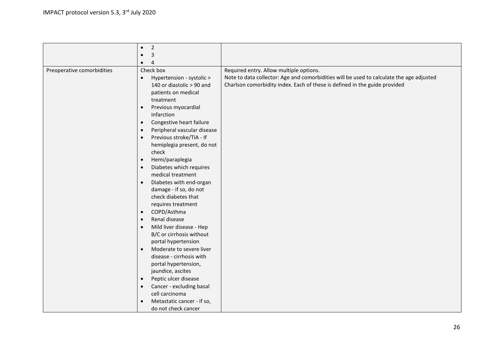|                            | $\overline{2}$<br>$\bullet$                                         |                                                                                                                                                                        |
|----------------------------|---------------------------------------------------------------------|------------------------------------------------------------------------------------------------------------------------------------------------------------------------|
|                            |                                                                     |                                                                                                                                                                        |
|                            | 3<br>$\bullet$                                                      |                                                                                                                                                                        |
|                            | $\overline{4}$<br>$\bullet$                                         |                                                                                                                                                                        |
| Preoperative comorbidities | Check box                                                           | Required entry. Allow multiple options.                                                                                                                                |
|                            | Hypertension - systolic ><br>$\bullet$<br>140 or diastolic > 90 and | Note to data collector: Age and comorbidities will be used to calculate the age adjusted<br>Charlson comorbidity index. Each of these is defined in the guide provided |
|                            | patients on medical<br>treatment                                    |                                                                                                                                                                        |
|                            | Previous myocardial<br>$\bullet$                                    |                                                                                                                                                                        |
|                            | infarction                                                          |                                                                                                                                                                        |
|                            | Congestive heart failure<br>$\bullet$                               |                                                                                                                                                                        |
|                            | Peripheral vascular disease<br>$\bullet$                            |                                                                                                                                                                        |
|                            | Previous stroke/TIA - If<br>$\bullet$                               |                                                                                                                                                                        |
|                            | hemiplegia present, do not                                          |                                                                                                                                                                        |
|                            | check                                                               |                                                                                                                                                                        |
|                            | Hemi/paraplegia<br>$\bullet$                                        |                                                                                                                                                                        |
|                            | Diabetes which requires<br>$\bullet$                                |                                                                                                                                                                        |
|                            | medical treatment                                                   |                                                                                                                                                                        |
|                            | Diabetes with end-organ<br>$\bullet$                                |                                                                                                                                                                        |
|                            | damage - if so, do not                                              |                                                                                                                                                                        |
|                            | check diabetes that                                                 |                                                                                                                                                                        |
|                            | requires treatment                                                  |                                                                                                                                                                        |
|                            | COPD/Asthma<br>$\bullet$                                            |                                                                                                                                                                        |
|                            | Renal disease<br>$\bullet$                                          |                                                                                                                                                                        |
|                            | Mild liver disease - Hep<br>$\bullet$                               |                                                                                                                                                                        |
|                            | B/C or cirrhosis without                                            |                                                                                                                                                                        |
|                            | portal hypertension                                                 |                                                                                                                                                                        |
|                            | Moderate to severe liver<br>$\bullet$                               |                                                                                                                                                                        |
|                            | disease - cirrhosis with                                            |                                                                                                                                                                        |
|                            | portal hypertension,                                                |                                                                                                                                                                        |
|                            | jaundice, ascites                                                   |                                                                                                                                                                        |
|                            | Peptic ulcer disease<br>$\bullet$                                   |                                                                                                                                                                        |
|                            | Cancer - excluding basal<br>$\bullet$                               |                                                                                                                                                                        |
|                            | cell carcinoma                                                      |                                                                                                                                                                        |
|                            | Metastatic cancer - if so,<br>$\bullet$                             |                                                                                                                                                                        |
|                            | do not check cancer                                                 |                                                                                                                                                                        |
|                            |                                                                     |                                                                                                                                                                        |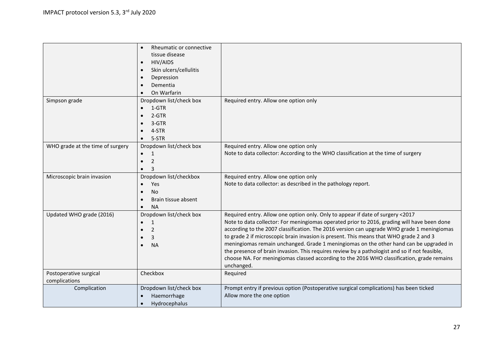|                                  | Rheumatic or connective<br>$\bullet$ |                                                                                               |
|----------------------------------|--------------------------------------|-----------------------------------------------------------------------------------------------|
|                                  |                                      |                                                                                               |
|                                  | tissue disease                       |                                                                                               |
|                                  | HIV/AIDS<br>$\bullet$                |                                                                                               |
|                                  | Skin ulcers/cellulitis               |                                                                                               |
|                                  | Depression<br>$\bullet$              |                                                                                               |
|                                  | Dementia                             |                                                                                               |
|                                  | On Warfarin                          |                                                                                               |
| Simpson grade                    | Dropdown list/check box              | Required entry. Allow one option only                                                         |
|                                  | 1-GTR<br>$\bullet$                   |                                                                                               |
|                                  | 2-GTR<br>$\bullet$                   |                                                                                               |
|                                  | 3-GTR                                |                                                                                               |
|                                  | 4-STR                                |                                                                                               |
|                                  | 5-STR                                |                                                                                               |
| WHO grade at the time of surgery | Dropdown list/check box              | Required entry. Allow one option only                                                         |
|                                  | 1                                    | Note to data collector: According to the WHO classification at the time of surgery            |
|                                  | $\overline{2}$                       |                                                                                               |
|                                  |                                      |                                                                                               |
|                                  | 3<br>$\bullet$                       |                                                                                               |
| Microscopic brain invasion       | Dropdown list/checkbox               | Required entry. Allow one option only                                                         |
|                                  | Yes<br>$\bullet$                     | Note to data collector: as described in the pathology report.                                 |
|                                  | No<br>$\bullet$                      |                                                                                               |
|                                  | Brain tissue absent<br>$\bullet$     |                                                                                               |
|                                  | <b>NA</b><br>$\bullet$               |                                                                                               |
| Updated WHO grade (2016)         | Dropdown list/check box              | Required entry. Allow one option only. Only to appear if date of surgery <2017                |
|                                  | $\mathbf{1}$                         | Note to data collector: For meningiomas operated prior to 2016, grading will have been done   |
|                                  | 2                                    | according to the 2007 classification. The 2016 version can upgrade WHO grade 1 meningiomas    |
|                                  | 3                                    | to grade 2 if microscopic brain invasion is present. This means that WHO grade 2 and 3        |
|                                  | <b>NA</b><br>$\bullet$               | meningiomas remain unchanged. Grade 1 meningiomas on the other hand can be upgraded in        |
|                                  |                                      | the presence of brain invasion. This requires review by a pathologist and so if not feasible, |
|                                  |                                      | choose NA. For meningiomas classed according to the 2016 WHO classification, grade remains    |
|                                  |                                      | unchanged.                                                                                    |
| Postoperative surgical           | Checkbox                             | Required                                                                                      |
| complications                    |                                      |                                                                                               |
| Complication                     | Dropdown list/check box              | Prompt entry if previous option (Postoperative surgical complications) has been ticked        |
|                                  | Haemorrhage                          | Allow more the one option                                                                     |
|                                  | Hydrocephalus                        |                                                                                               |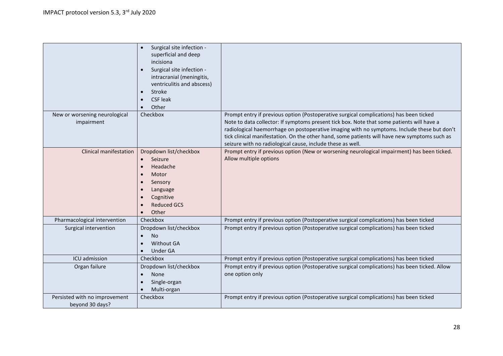|                                                  | Surgical site infection -<br>superficial and deep<br>incisiona<br>Surgical site infection -<br>intracranial (meningitis,<br>ventriculitis and abscess)<br>Stroke<br>$\bullet$<br><b>CSF leak</b><br>Other |                                                                                                                                                                                                                                                                                                                                                                                                                                                  |
|--------------------------------------------------|-----------------------------------------------------------------------------------------------------------------------------------------------------------------------------------------------------------|--------------------------------------------------------------------------------------------------------------------------------------------------------------------------------------------------------------------------------------------------------------------------------------------------------------------------------------------------------------------------------------------------------------------------------------------------|
| New or worsening neurological<br>impairment      | Checkbox                                                                                                                                                                                                  | Prompt entry if previous option (Postoperative surgical complications) has been ticked<br>Note to data collector: If symptoms present tick box. Note that some patients will have a<br>radiological haemorrhage on postoperative imaging with no symptoms. Include these but don't<br>tick clinical manifestation. On the other hand, some patients will have new symptoms such as<br>seizure with no radiological cause, include these as well. |
| <b>Clinical manifestation</b>                    | Dropdown list/checkbox<br>Seizure<br>Headache<br>$\bullet$<br>Motor<br>$\bullet$<br>Sensory<br>Language<br>Cognitive<br><b>Reduced GCS</b><br>Other                                                       | Prompt entry if previous option (New or worsening neurological impairment) has been ticked.<br>Allow multiple options                                                                                                                                                                                                                                                                                                                            |
| Pharmacological intervention                     | Checkbox                                                                                                                                                                                                  | Prompt entry if previous option (Postoperative surgical complications) has been ticked                                                                                                                                                                                                                                                                                                                                                           |
| Surgical intervention                            | Dropdown list/checkbox<br><b>No</b><br>$\bullet$<br><b>Without GA</b><br><b>Under GA</b>                                                                                                                  | Prompt entry if previous option (Postoperative surgical complications) has been ticked                                                                                                                                                                                                                                                                                                                                                           |
| ICU admission                                    | Checkbox                                                                                                                                                                                                  | Prompt entry if previous option (Postoperative surgical complications) has been ticked                                                                                                                                                                                                                                                                                                                                                           |
| Organ failure                                    | Dropdown list/checkbox<br><b>None</b><br>$\bullet$<br>Single-organ<br>$\bullet$<br>Multi-organ                                                                                                            | Prompt entry if previous option (Postoperative surgical complications) has been ticked. Allow<br>one option only                                                                                                                                                                                                                                                                                                                                 |
| Persisted with no improvement<br>beyond 30 days? | Checkbox                                                                                                                                                                                                  | Prompt entry if previous option (Postoperative surgical complications) has been ticked                                                                                                                                                                                                                                                                                                                                                           |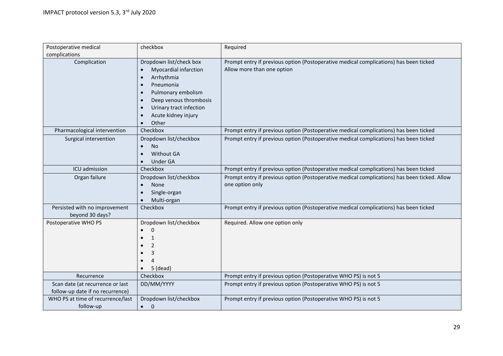| Postoperative medical                                                | checkbox                                                                                                                                                                                                                                                | Required                                                                                                            |
|----------------------------------------------------------------------|---------------------------------------------------------------------------------------------------------------------------------------------------------------------------------------------------------------------------------------------------------|---------------------------------------------------------------------------------------------------------------------|
| complications                                                        |                                                                                                                                                                                                                                                         |                                                                                                                     |
| Complication                                                         | Dropdown list/check box<br>Myocardial infarction<br>Arrhythmia<br>$\bullet$<br>Pneumonia<br>$\bullet$<br>Pulmonary embolism<br>$\bullet$<br>Deep venous thrombosis<br>$\bullet$<br>Urinary tract infection<br>$\bullet$<br>Acute kidney injury<br>Other | Prompt entry if previous option (Postoperative medical complications) has been ticked<br>Allow more than one option |
| Pharmacological intervention                                         | Checkbox                                                                                                                                                                                                                                                | Prompt entry if previous option (Postoperative medical complications) has been ticked                               |
| Surgical intervention                                                | Dropdown list/checkbox<br>No<br><b>Without GA</b><br><b>Under GA</b>                                                                                                                                                                                    | Prompt entry if previous option (Postoperative medical complications) has been ticked                               |
| ICU admission                                                        | Checkbox                                                                                                                                                                                                                                                | Prompt entry if previous option (Postoperative medical complications) has been ticked                               |
| Organ failure                                                        | Dropdown list/checkbox<br><b>None</b><br>$\bullet$<br>Single-organ<br>$\bullet$<br>Multi-organ                                                                                                                                                          | Prompt entry if previous option (Postoperative medical complications) has been ticked. Allow<br>one option only     |
| Persisted with no improvement<br>beyond 30 days?                     | Checkbox                                                                                                                                                                                                                                                | Prompt entry if previous option (Postoperative medical complications) has been ticked                               |
| Postoperative WHO PS                                                 | Dropdown list/checkbox<br>$\Omega$<br>$\bullet$<br>$\mathbf{1}$<br>$\overline{2}$<br>3<br>$\overline{a}$<br>$5$ (dead)                                                                                                                                  | Required. Allow one option only                                                                                     |
| Recurrence                                                           | Checkbox                                                                                                                                                                                                                                                | Prompt entry if previous option (Postoperative WHO PS) is not 5                                                     |
| Scan date (at recurrence or last<br>follow-up date if no recurrence) | DD/MM/YYYY                                                                                                                                                                                                                                              | Prompt entry if previous option (Postoperative WHO PS) is not 5                                                     |
| WHO PS at time of recurrence/last<br>follow-up                       | Dropdown list/checkbox<br>$\mathbf 0$<br>$\bullet$                                                                                                                                                                                                      | Prompt entry if previous option (Postoperative WHO PS) is not 5                                                     |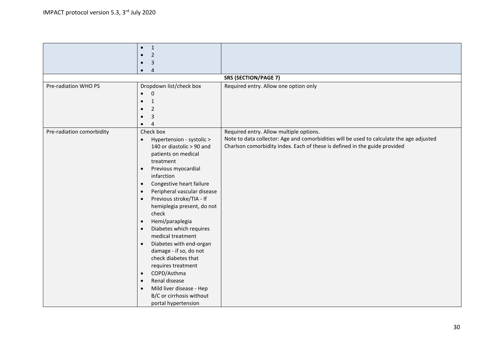|                           | $\mathbf{1}$<br>$\bullet$                |                                                                                          |
|---------------------------|------------------------------------------|------------------------------------------------------------------------------------------|
|                           | $\overline{2}$                           |                                                                                          |
|                           | 3                                        |                                                                                          |
|                           | $\overline{4}$                           |                                                                                          |
|                           |                                          | <b>SRS (SECTION/PAGE 7)</b>                                                              |
| Pre-radiation WHO PS      | Dropdown list/check box                  | Required entry. Allow one option only                                                    |
|                           | $\Omega$<br>$\bullet$                    |                                                                                          |
|                           | $\mathbf{1}$                             |                                                                                          |
|                           | $\overline{2}$                           |                                                                                          |
|                           | 3                                        |                                                                                          |
|                           | $\Delta$                                 |                                                                                          |
| Pre-radiation comorbidity | Check box                                | Required entry. Allow multiple options.                                                  |
|                           | Hypertension - systolic ><br>$\bullet$   | Note to data collector: Age and comorbidities will be used to calculate the age adjusted |
|                           | 140 or diastolic > 90 and                | Charlson comorbidity index. Each of these is defined in the guide provided               |
|                           | patients on medical                      |                                                                                          |
|                           | treatment                                |                                                                                          |
|                           | Previous myocardial<br>$\bullet$         |                                                                                          |
|                           | infarction                               |                                                                                          |
|                           | Congestive heart failure<br>$\bullet$    |                                                                                          |
|                           | Peripheral vascular disease<br>$\bullet$ |                                                                                          |
|                           | Previous stroke/TIA - If<br>$\bullet$    |                                                                                          |
|                           | hemiplegia present, do not               |                                                                                          |
|                           | check                                    |                                                                                          |
|                           | Hemi/paraplegia<br>$\bullet$             |                                                                                          |
|                           | Diabetes which requires<br>$\bullet$     |                                                                                          |
|                           | medical treatment                        |                                                                                          |
|                           | Diabetes with end-organ<br>$\bullet$     |                                                                                          |
|                           | damage - if so, do not                   |                                                                                          |
|                           | check diabetes that                      |                                                                                          |
|                           | requires treatment                       |                                                                                          |
|                           | COPD/Asthma<br>$\bullet$                 |                                                                                          |
|                           | Renal disease<br>$\bullet$               |                                                                                          |
|                           | Mild liver disease - Hep<br>$\bullet$    |                                                                                          |
|                           | B/C or cirrhosis without                 |                                                                                          |
|                           | portal hypertension                      |                                                                                          |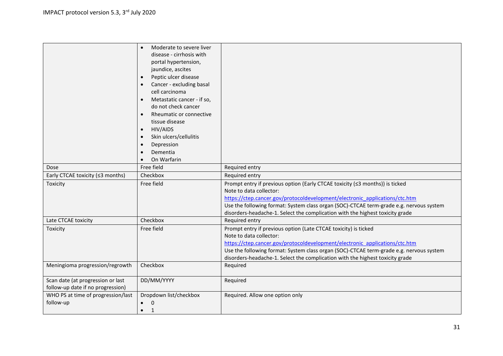|                                                                        | Moderate to severe liver<br>$\bullet$<br>disease - cirrhosis with<br>portal hypertension,<br>jaundice, ascites<br>Peptic ulcer disease<br>$\bullet$<br>Cancer - excluding basal<br>cell carcinoma<br>Metastatic cancer - if so,<br>do not check cancer<br>Rheumatic or connective<br>$\bullet$<br>tissue disease<br>HIV/AIDS<br>$\bullet$<br>Skin ulcers/cellulitis<br>$\bullet$<br>Depression<br>$\bullet$<br>Dementia<br>$\bullet$<br>On Warfarin |                                                                                                                                                                                                                                                                                                                                                                    |
|------------------------------------------------------------------------|-----------------------------------------------------------------------------------------------------------------------------------------------------------------------------------------------------------------------------------------------------------------------------------------------------------------------------------------------------------------------------------------------------------------------------------------------------|--------------------------------------------------------------------------------------------------------------------------------------------------------------------------------------------------------------------------------------------------------------------------------------------------------------------------------------------------------------------|
| Dose                                                                   | Free field                                                                                                                                                                                                                                                                                                                                                                                                                                          | Required entry                                                                                                                                                                                                                                                                                                                                                     |
| Early CTCAE toxicity (≤3 months)                                       | Checkbox                                                                                                                                                                                                                                                                                                                                                                                                                                            | Required entry                                                                                                                                                                                                                                                                                                                                                     |
| Toxicity                                                               | Free field                                                                                                                                                                                                                                                                                                                                                                                                                                          | Prompt entry if previous option (Early CTCAE toxicity (≤3 months)) is ticked<br>Note to data collector:<br>https://ctep.cancer.gov/protocoldevelopment/electronic applications/ctc.htm<br>Use the following format: System class organ (SOC)-CTCAE term-grade e.g. nervous system<br>disorders-headache-1. Select the complication with the highest toxicity grade |
| Late CTCAE toxicity                                                    | Checkbox                                                                                                                                                                                                                                                                                                                                                                                                                                            | Required entry                                                                                                                                                                                                                                                                                                                                                     |
| Toxicity                                                               | Free field                                                                                                                                                                                                                                                                                                                                                                                                                                          | Prompt entry if previous option (Late CTCAE toxicity) is ticked<br>Note to data collector:<br>https://ctep.cancer.gov/protocoldevelopment/electronic applications/ctc.htm<br>Use the following format: System class organ (SOC)-CTCAE term-grade e.g. nervous system<br>disorders-headache-1. Select the complication with the highest toxicity grade              |
| Meningioma progression/regrowth                                        | Checkbox                                                                                                                                                                                                                                                                                                                                                                                                                                            | Required                                                                                                                                                                                                                                                                                                                                                           |
| Scan date (at progression or last<br>follow-up date if no progression) | DD/MM/YYYY                                                                                                                                                                                                                                                                                                                                                                                                                                          | Required                                                                                                                                                                                                                                                                                                                                                           |
| WHO PS at time of progression/last<br>follow-up                        | Dropdown list/checkbox<br>0<br>$\mathbf{1}$<br>$\bullet$                                                                                                                                                                                                                                                                                                                                                                                            | Required. Allow one option only                                                                                                                                                                                                                                                                                                                                    |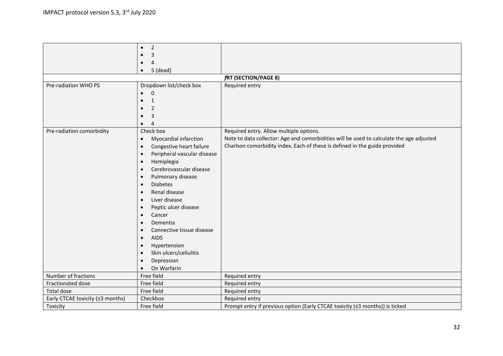|                                  | $\overline{2}$<br>$\bullet$              |                                                                                          |
|----------------------------------|------------------------------------------|------------------------------------------------------------------------------------------|
|                                  | 3                                        |                                                                                          |
|                                  | 4<br>$\bullet$                           |                                                                                          |
|                                  | $5$ (dead)<br>$\bullet$                  |                                                                                          |
|                                  |                                          | fRT (SECTION/PAGE 8)                                                                     |
| Pre-radiation WHO PS             | Dropdown list/check box                  | Required entry                                                                           |
|                                  | $\Omega$                                 |                                                                                          |
|                                  | $\mathbf{1}$                             |                                                                                          |
|                                  | 2                                        |                                                                                          |
|                                  | 3                                        |                                                                                          |
|                                  | $\overline{4}$<br>$\bullet$              |                                                                                          |
| Pre-radiation comorbidity        | Check box                                | Required entry. Allow multiple options.                                                  |
|                                  | Myocardial infarction<br>$\bullet$       | Note to data collector: Age and comorbidities will be used to calculate the age adjusted |
|                                  | Congestive heart failure<br>$\bullet$    | Charlson comorbidity index. Each of these is defined in the guide provided               |
|                                  | Peripheral vascular disease<br>$\bullet$ |                                                                                          |
|                                  | Hemiplegia<br>$\bullet$                  |                                                                                          |
|                                  | Cerebrovascular disease<br>$\bullet$     |                                                                                          |
|                                  | Pulmonary disease<br>$\bullet$           |                                                                                          |
|                                  | <b>Diabetes</b><br>$\bullet$             |                                                                                          |
|                                  | Renal disease<br>$\bullet$               |                                                                                          |
|                                  | Liver disease<br>$\bullet$               |                                                                                          |
|                                  | Peptic ulcer disease<br>$\bullet$        |                                                                                          |
|                                  | Cancer<br>$\bullet$                      |                                                                                          |
|                                  | Dementia<br>$\bullet$                    |                                                                                          |
|                                  | Connective tissue disease<br>$\bullet$   |                                                                                          |
|                                  | <b>AIDS</b><br>$\bullet$                 |                                                                                          |
|                                  | Hypertension<br>$\bullet$                |                                                                                          |
|                                  | Skin ulcers/cellulitis<br>$\bullet$      |                                                                                          |
|                                  | Depression<br>$\bullet$                  |                                                                                          |
|                                  | On Warfarin<br>$\bullet$                 |                                                                                          |
| Number of fractions              | Free field                               | Required entry                                                                           |
| Fractionated dose                | Free field                               | Required entry                                                                           |
| Total dose                       | Free field                               | Required entry                                                                           |
| Early CTCAE toxicity (≤3 months) | Checkbox                                 | Required entry                                                                           |
| Toxicity                         | Free field                               | Prompt entry if previous option (Early CTCAE toxicity (≤3 months)) is ticked             |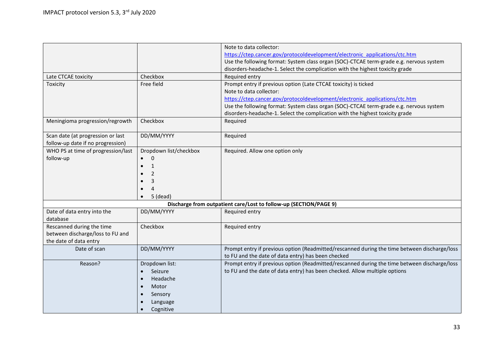|                                    |                        | Note to data collector:                                                                      |
|------------------------------------|------------------------|----------------------------------------------------------------------------------------------|
|                                    |                        | https://ctep.cancer.gov/protocoldevelopment/electronic_applications/ctc.htm                  |
|                                    |                        | Use the following format: System class organ (SOC)-CTCAE term-grade e.g. nervous system      |
|                                    |                        | disorders-headache-1. Select the complication with the highest toxicity grade                |
| Late CTCAE toxicity                | Checkbox               | Required entry                                                                               |
| Toxicity                           | Free field             | Prompt entry if previous option (Late CTCAE toxicity) is ticked                              |
|                                    |                        | Note to data collector:                                                                      |
|                                    |                        | https://ctep.cancer.gov/protocoldevelopment/electronic applications/ctc.htm                  |
|                                    |                        | Use the following format: System class organ (SOC)-CTCAE term-grade e.g. nervous system      |
|                                    |                        | disorders-headache-1. Select the complication with the highest toxicity grade                |
| Meningioma progression/regrowth    | Checkbox               | Required                                                                                     |
| Scan date (at progression or last  | DD/MM/YYYY             | Required                                                                                     |
| follow-up date if no progression)  |                        |                                                                                              |
| WHO PS at time of progression/last | Dropdown list/checkbox | Required. Allow one option only                                                              |
| follow-up                          | $\Omega$               |                                                                                              |
|                                    | $\mathbf{1}$           |                                                                                              |
|                                    | 2                      |                                                                                              |
|                                    | 3                      |                                                                                              |
|                                    | 4                      |                                                                                              |
|                                    |                        |                                                                                              |
|                                    | 5 (dead)               |                                                                                              |
|                                    |                        | Discharge from outpatient care/Lost to follow-up (SECTION/PAGE 9)                            |
| Date of data entry into the        | DD/MM/YYYY             | Required entry                                                                               |
| database                           |                        |                                                                                              |
| Rescanned during the time          | Checkbox               | Required entry                                                                               |
| between discharge/loss to FU and   |                        |                                                                                              |
| the date of data entry             |                        |                                                                                              |
| Date of scan                       | DD/MM/YYYY             | Prompt entry if previous option (Readmitted/rescanned during the time between discharge/loss |
|                                    |                        | to FU and the date of data entry) has been checked                                           |
| Reason?                            | Dropdown list:         | Prompt entry if previous option (Readmitted/rescanned during the time between discharge/loss |
|                                    | Seizure<br>$\bullet$   | to FU and the date of data entry) has been checked. Allow multiple options                   |
|                                    | Headache<br>$\bullet$  |                                                                                              |
|                                    | Motor                  |                                                                                              |
|                                    | Sensory                |                                                                                              |
|                                    | Language               |                                                                                              |
|                                    | Cognitive              |                                                                                              |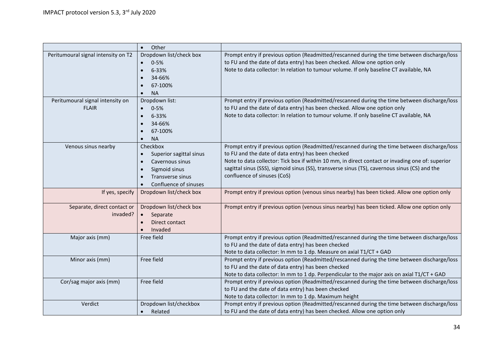|                                                  | Other<br>$\bullet$                                                                                                   |                                                                                                                                                                                                                                                                                                                                                                                        |
|--------------------------------------------------|----------------------------------------------------------------------------------------------------------------------|----------------------------------------------------------------------------------------------------------------------------------------------------------------------------------------------------------------------------------------------------------------------------------------------------------------------------------------------------------------------------------------|
| Peritumoural signal intensity on T2              | Dropdown list/check box<br>$0 - 5%$<br>$\bullet$<br>6-33%<br>$\bullet$<br>34-66%<br>67-100%<br><b>NA</b>             | Prompt entry if previous option (Readmitted/rescanned during the time between discharge/loss<br>to FU and the date of data entry) has been checked. Allow one option only<br>Note to data collector: In relation to tumour volume. If only baseline CT available, NA                                                                                                                   |
| Peritumoural signal intensity on<br><b>FLAIR</b> | Dropdown list:<br>$0 - 5%$<br>6-33%<br>34-66%<br>67-100%<br><b>NA</b>                                                | Prompt entry if previous option (Readmitted/rescanned during the time between discharge/loss<br>to FU and the date of data entry) has been checked. Allow one option only<br>Note to data collector: In relation to tumour volume. If only baseline CT available, NA                                                                                                                   |
| Venous sinus nearby                              | Checkbox<br>Superior sagittal sinus<br>Cavernous sinus<br>Sigmoid sinus<br>Transverse sinus<br>Confluence of sinuses | Prompt entry if previous option (Readmitted/rescanned during the time between discharge/loss<br>to FU and the date of data entry) has been checked<br>Note to data collector: Tick box if within 10 mm, in direct contact or invading one of: superior<br>sagittal sinus (SSS), sigmoid sinus (SS), transverse sinus (TS), cavernous sinus (CS) and the<br>confluence of sinuses (CoS) |
| If yes, specify                                  | Dropdown list/check box                                                                                              | Prompt entry if previous option (venous sinus nearby) has been ticked. Allow one option only                                                                                                                                                                                                                                                                                           |
| Separate, direct contact or<br>invaded?          | Dropdown list/check box<br>Separate<br>$\bullet$<br>Direct contact<br>Invaded                                        | Prompt entry if previous option (venous sinus nearby) has been ticked. Allow one option only                                                                                                                                                                                                                                                                                           |
| Major axis (mm)                                  | Free field                                                                                                           | Prompt entry if previous option (Readmitted/rescanned during the time between discharge/loss<br>to FU and the date of data entry) has been checked<br>Note to data collector: In mm to 1 dp. Measure on axial T1/CT + GAD                                                                                                                                                              |
| Minor axis (mm)                                  | Free field                                                                                                           | Prompt entry if previous option (Readmitted/rescanned during the time between discharge/loss<br>to FU and the date of data entry) has been checked<br>Note to data collector: In mm to 1 dp. Perpendicular to the major axis on axial T1/CT + GAD                                                                                                                                      |
| Cor/sag major axis (mm)                          | Free field                                                                                                           | Prompt entry if previous option (Readmitted/rescanned during the time between discharge/loss<br>to FU and the date of data entry) has been checked<br>Note to data collector: In mm to 1 dp. Maximum height                                                                                                                                                                            |
| Verdict                                          | Dropdown list/checkbox<br>Related                                                                                    | Prompt entry if previous option (Readmitted/rescanned during the time between discharge/loss<br>to FU and the date of data entry) has been checked. Allow one option only                                                                                                                                                                                                              |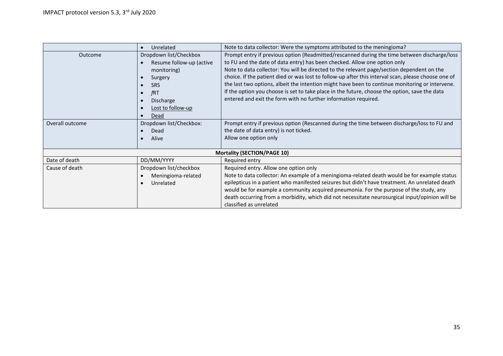|                                    | Unrelated                | Note to data collector: Were the symptoms attributed to the meningioma?                             |  |  |  |
|------------------------------------|--------------------------|-----------------------------------------------------------------------------------------------------|--|--|--|
| Outcome                            | Dropdown list/Checkbox   | Prompt entry if previous option (Readmitted/rescanned during the time between discharge/loss        |  |  |  |
|                                    | Resume follow-up (active | to FU and the date of data entry) has been checked. Allow one option only                           |  |  |  |
|                                    | monitoring)              | Note to data collector: You will be directed to the relevant page/section dependent on the          |  |  |  |
|                                    | Surgery                  | choice. If the patient died or was lost to follow-up after this interval scan, please choose one of |  |  |  |
|                                    | <b>SRS</b>               | the last two options, albeit the intention might have been to continue monitoring or intervene.     |  |  |  |
|                                    | fRT                      | If the option you choose is set to take place in the future, choose the option, save the data       |  |  |  |
|                                    | Discharge                | entered and exit the form with no further information required.                                     |  |  |  |
|                                    | Lost to follow-up        |                                                                                                     |  |  |  |
|                                    | Dead                     |                                                                                                     |  |  |  |
| Overall outcome                    | Dropdown list/Checkbox:  | Prompt entry if previous option (Rescanned during the time between discharge/loss to FU and         |  |  |  |
|                                    | Dead                     | the date of data entry) is not ticked.                                                              |  |  |  |
|                                    | Alive                    | Allow one option only                                                                               |  |  |  |
|                                    |                          |                                                                                                     |  |  |  |
| <b>Mortality (SECTION/PAGE 10)</b> |                          |                                                                                                     |  |  |  |
| Date of death                      | DD/MM/YYYY               | Required entry                                                                                      |  |  |  |
| Cause of death                     | Dropdown list/checkbox   | Required entry. Allow one option only                                                               |  |  |  |
|                                    | Meningioma-related       | Note to data collector: An example of a meningioma-related death would be for example status        |  |  |  |
|                                    | Unrelated                | epilepticus in a patient who manifested seizures but didn't have treatment. An unrelated death      |  |  |  |
|                                    |                          | would be for example a community acquired pneumonia. For the purpose of the study, any              |  |  |  |
|                                    |                          | death occurring from a morbidity, which did not necessitate neurosurgical input/opinion will be     |  |  |  |
|                                    |                          | classified as unrelated                                                                             |  |  |  |